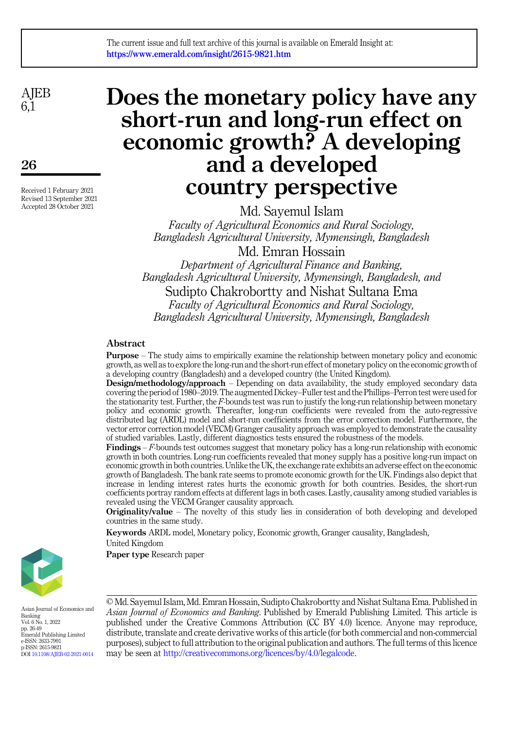**AIEB**  $6\overline{1}$ 

26

Received 1 February 2021 Revised 13 September 2021 Accepted 28 October 2021

# Does the monetary policy have any short-run and long-run effect on economic growth? A developing and a developed country perspective

Md. Sayemul Islam Faculty of Agricultural Economics and Rural Sociology, Bangladesh Agricultural University, Mymensingh, Bangladesh Md. Emran Hossain

Department of Agricultural Finance and Banking, Bangladesh Agricultural University, Mymensingh, Bangladesh, and Sudipto Chakrobortty and Nishat Sultana Ema Faculty of Agricultural Economics and Rural Sociology, Bangladesh Agricultural University, Mymensingh, Bangladesh

# Abstract

Purpose – The study aims to empirically examine the relationship between monetary policy and economic growth, as well as to explore the long-run and the short-run effect of monetary policy on the economic growth of a developing country (Bangladesh) and a developed country (the United Kingdom).

**Design/methodology/approach** – Depending on data availability, the study employed secondary data covering the period of 1980–2019. The augmented Dickey–Fuller test and the Phillips–Perron test were used for the stationarity test. Further, the F-bounds test was run to justify the long-run relationship between monetary policy and economic growth. Thereafter, long-run coefficients were revealed from the auto-regressive distributed lag (ARDL) model and short-run coefficients from the error correction model. Furthermore, the vector error correction model (VECM) Granger causality approach was employed to demonstrate the causality of studied variables. Lastly, different diagnostics tests ensured the robustness of the models.

**Findings** –  $F$ -bounds test outcomes suggest that monetary policy has a long-run relationship with economic growth in both countries. Long-run coefficients revealed that money supply has a positive long-run impact on economic growth in both countries. Unlike the UK, the exchange rate exhibits an adverse effect on the economic growth of Bangladesh. The bank rate seems to promote economic growth for the UK. Findings also depict that increase in lending interest rates hurts the economic growth for both countries. Besides, the short-run coefficients portray random effects at different lags in both cases. Lastly, causality among studied variables is revealed using the VECM Granger causality approach.

Originality/value – The novelty of this study lies in consideration of both developing and developed countries in the same study.

Keywords ARDL model, Monetary policy, Economic growth, Granger causality, Bangladesh,

United Kingdom

Paper type Research paper



Asian Journal of Economics and Banking Vol. 6 No. 1, 2022 pp. 26-49 Emerald Publishing Limited e-ISSN: 2633-7991 p-ISSN: 2615-9821 DOI [10.1108/AJEB-02-2021-0014](https://doi.org/10.1108/AJEB-02-2021-0014) © Md. Sayemul Islam, Md. Emran Hossain, Sudipto Chakrobortty and Nishat Sultana Ema. Published in Asian Journal of Economics and Banking. Published by Emerald Publishing Limited. This article is published under the Creative Commons Attribution (CC BY 4.0) licence. Anyone may reproduce, distribute, translate and create derivative works of this article (for both commercial and non-commercial purposes), subject to full attribution to the original publication and authors. The full terms of this licence may be seen at [http://creativecommons.org/licences/by/4.0/legalcode.](http://creativecommons.org/licences/by/4.0/legalcode)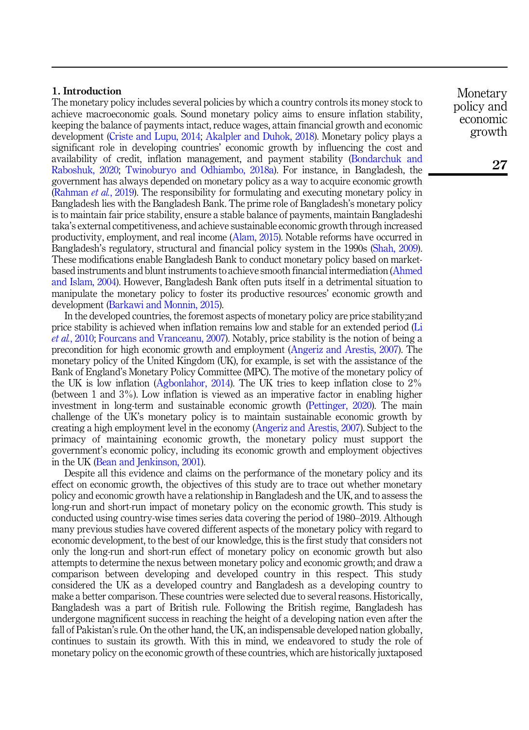# 1. Introduction

The monetary policy includes several policies by which a country controls its money stock to achieve macroeconomic goals. Sound monetary policy aims to ensure inflation stability, keeping the balance of payments intact, reduce wages, attain financial growth and economic development [\(Criste and Lupu, 2014](#page-20-0); [Akalpler and Duhok, 2018](#page-20-1)). Monetary policy plays a significant role in developing countries' economic growth by influencing the cost and availability of credit, inflation management, and payment stability ([Bondarchuk and](#page-20-2) [Raboshuk, 2020;](#page-20-2) [Twinoburyo and Odhiambo, 2018a\)](#page-23-0). For instance, in Bangladesh, the government has always depended on monetary policy as a way to acquire economic growth ([Rahman](#page-22-0) et al., 2019). The responsibility for formulating and executing monetary policy in Bangladesh lies with the Bangladesh Bank. The prime role of Bangladesh's monetary policy is to maintain fair price stability, ensure a stable balance of payments, maintain Bangladeshi taka's external competitiveness, and achieve sustainable economic growth through increased productivity, employment, and real income ([Alam, 2015\)](#page-20-3). Notable reforms have occurred in Bangladesh's regulatory, structural and financial policy system in the 1990s ([Shah, 2009\)](#page-22-1). These modifications enable Bangladesh Bank to conduct monetary policy based on marketbased instruments and blunt instruments to achieve smooth financial intermediation [\(Ahmed](#page-20-4) [and Islam, 2004](#page-20-4)). However, Bangladesh Bank often puts itself in a detrimental situation to manipulate the monetary policy to foster its productive resources' economic growth and development ([Barkawi and Monnin, 2015\)](#page-20-5).

In the developed countries, the foremost aspects of monetary policy are price stability;and price stability is achieved when inflation remains low and stable for an extended period [\(Li](#page-21-0) et al.[, 2010;](#page-21-0) [Fourcans and Vranceanu, 2007](#page-21-1)). Notably, price stability is the notion of being a precondition for high economic growth and employment [\(Angeriz and Arestis, 2007\)](#page-20-6). The monetary policy of the United Kingdom (UK), for example, is set with the assistance of the Bank of England's Monetary Policy Committee (MPC). The motive of the monetary policy of the UK is low inflation ([Agbonlahor, 2014\)](#page-20-7). The UK tries to keep inflation close to 2% (between 1 and 3%). Low inflation is viewed as an imperative factor in enabling higher investment in long-term and sustainable economic growth ([Pettinger, 2020\)](#page-22-2). The main challenge of the UK's monetary policy is to maintain sustainable economic growth by creating a high employment level in the economy ([Angeriz and Arestis, 2007](#page-20-6)). Subject to the primacy of maintaining economic growth, the monetary policy must support the government's economic policy, including its economic growth and employment objectives in the UK ([Bean and Jenkinson, 2001](#page-20-8)).

Despite all this evidence and claims on the performance of the monetary policy and its effect on economic growth, the objectives of this study are to trace out whether monetary policy and economic growth have a relationship in Bangladesh and the UK, and to assess the long-run and short-run impact of monetary policy on the economic growth. This study is conducted using country-wise times series data covering the period of 1980–2019. Although many previous studies have covered different aspects of the monetary policy with regard to economic development, to the best of our knowledge, this is the first study that considers not only the long-run and short-run effect of monetary policy on economic growth but also attempts to determine the nexus between monetary policy and economic growth; and draw a comparison between developing and developed country in this respect. This study considered the UK as a developed country and Bangladesh as a developing country to make a better comparison. These countries were selected due to several reasons. Historically, Bangladesh was a part of British rule. Following the British regime, Bangladesh has undergone magnificent success in reaching the height of a developing nation even after the fall of Pakistan's rule. On the other hand, the UK, an indispensable developed nation globally, continues to sustain its growth. With this in mind, we endeavored to study the role of monetary policy on the economic growth of these countries, which are historically juxtaposed

Monetary policy and economic growth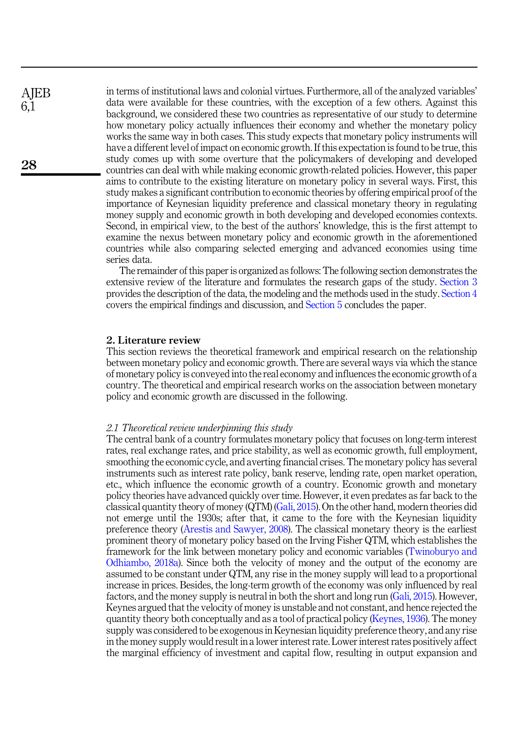in terms of institutional laws and colonial virtues. Furthermore, all of the analyzed variables' data were available for these countries, with the exception of a few others. Against this background, we considered these two countries as representative of our study to determine how monetary policy actually influences their economy and whether the monetary policy works the same way in both cases. This study expects that monetary policy instruments will have a different level of impact on economic growth. If this expectation is found to be true, this study comes up with some overture that the policymakers of developing and developed countries can deal with while making economic growth-related policies. However, this paper aims to contribute to the existing literature on monetary policy in several ways. First, this study makes a significant contribution to economic theories by offering empirical proof of the importance of Keynesian liquidity preference and classical monetary theory in regulating money supply and economic growth in both developing and developed economies contexts. Second, in empirical view, to the best of the authors' knowledge, this is the first attempt to examine the nexus between monetary policy and economic growth in the aforementioned countries while also comparing selected emerging and advanced economies using time series data.

The remainder of this paper is organized as follows: The following section demonstrates the extensive review of the literature and formulates the research gaps of the study. [Section 3](#page-6-0) provides the description of the data, the modeling and the methods used in the study. [Section 4](#page-9-0) covers the empirical findings and discussion, and [Section 5](#page-17-0) concludes the paper.

# 2. Literature review

This section reviews the theoretical framework and empirical research on the relationship between monetary policy and economic growth. There are several ways via which the stance of monetary policy is conveyed into the real economy and influences the economic growth of a country. The theoretical and empirical research works on the association between monetary policy and economic growth are discussed in the following.

#### 2.1 Theoretical review underpinning this study

The central bank of a country formulates monetary policy that focuses on long-term interest rates, real exchange rates, and price stability, as well as economic growth, full employment, smoothing the economic cycle, and averting financial crises. The monetary policy has several instruments such as interest rate policy, bank reserve, lending rate, open market operation, etc., which influence the economic growth of a country. Economic growth and monetary policy theories have advanced quickly over time. However, it even predates as far back to the classical quantity theory of money (QTM) ([Gali, 2015\)](#page-21-2). On the other hand, modern theories did not emerge until the 1930s; after that, it came to the fore with the Keynesian liquidity preference theory ([Arestis and Sawyer, 2008\)](#page-20-9). The classical monetary theory is the earliest prominent theory of monetary policy based on the Irving Fisher QTM, which establishes the framework for the link between monetary policy and economic variables ([Twinoburyo and](#page-23-0) [Odhiambo, 2018a](#page-23-0)). Since both the velocity of money and the output of the economy are assumed to be constant under QTM, any rise in the money supply will lead to a proportional increase in prices. Besides, the long-term growth of the economy was only influenced by real factors, and the money supply is neutral in both the short and long run [\(Gali, 2015](#page-21-2)). However, Keynes argued that the velocity of money is unstable and not constant, and hence rejected the quantity theory both conceptually and as a tool of practical policy [\(Keynes, 1936\)](#page-21-3). The money supply was considered to be exogenous in Keynesian liquidity preference theory, and any rise in the money supply would result in a lower interest rate. Lower interest rates positively affect the marginal efficiency of investment and capital flow, resulting in output expansion and

**AIEB** 6,1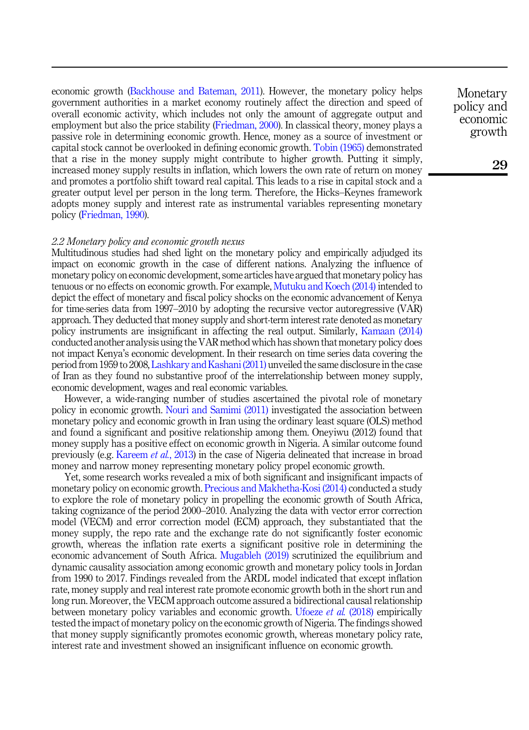economic growth [\(Backhouse and Bateman, 2011\)](#page-20-10). However, the monetary policy helps government authorities in a market economy routinely affect the direction and speed of overall economic activity, which includes not only the amount of aggregate output and employment but also the price stability ([Friedman, 2000\)](#page-21-4). In classical theory, money plays a passive role in determining economic growth. Hence, money as a source of investment or capital stock cannot be overlooked in defining economic growth. [Tobin \(1965\)](#page-23-1) demonstrated that a rise in the money supply might contribute to higher growth. Putting it simply, increased money supply results in inflation, which lowers the own rate of return on money and promotes a portfolio shift toward real capital. This leads to a rise in capital stock and a greater output level per person in the long term. Therefore, the Hicks–Keynes framework adopts money supply and interest rate as instrumental variables representing monetary policy ([Friedman, 1990\)](#page-21-5).

#### 2.2 Monetary policy and economic growth nexus

Multitudinous studies had shed light on the monetary policy and empirically adjudged its impact on economic growth in the case of different nations. Analyzing the influence of monetary policy on economic development, some articles have argued that monetary policy has tenuous or no effects on economic growth. For example, [Mutuku and Koech \(2014\)](#page-22-3) intended to depict the effect of monetary and fiscal policy shocks on the economic advancement of Kenya for time-series data from 1997–2010 by adopting the recursive vector autoregressive (VAR) approach. They deducted that money supply and short-term interest rate denoted as monetary policy instruments are insignificant in affecting the real output. Similarly, [Kamaan \(2014\)](#page-21-6) conducted another analysis using the VAR method which has shown that monetary policy does not impact Kenya's economic development. In their research on time series data covering the period from 1959 to 2008, [Lashkary and Kashani \(2011\)](#page-21-7) unveiled the same disclosure in the case of Iran as they found no substantive proof of the interrelationship between money supply, economic development, wages and real economic variables.

However, a wide-ranging number of studies ascertained the pivotal role of monetary policy in economic growth. [Nouri and Samimi \(2011\)](#page-22-4) investigated the association between monetary policy and economic growth in Iran using the ordinary least square (OLS) method and found a significant and positive relationship among them. Oneyiwu (2012) found that money supply has a positive effect on economic growth in Nigeria. A similar outcome found previously (e.g. [Kareem](#page-21-8) et al., 2013) in the case of Nigeria delineated that increase in broad money and narrow money representing monetary policy propel economic growth.

Yet, some research works revealed a mix of both significant and insignificant impacts of monetary policy on economic growth. [Precious and Makhetha-Kosi \(2014\)](#page-22-5) conducted a study to explore the role of monetary policy in propelling the economic growth of South Africa, taking cognizance of the period 2000–2010. Analyzing the data with vector error correction model (VECM) and error correction model (ECM) approach, they substantiated that the money supply, the repo rate and the exchange rate do not significantly foster economic growth, whereas the inflation rate exerts a significant positive role in determining the economic advancement of South Africa. [Mugableh \(2019\)](#page-22-6) scrutinized the equilibrium and dynamic causality association among economic growth and monetary policy tools in Jordan from 1990 to 2017. Findings revealed from the ARDL model indicated that except inflation rate, money supply and real interest rate promote economic growth both in the short run and long run. Moreover, the VECM approach outcome assured a bidirectional causal relationship between monetary policy variables and economic growth. [Ufoeze](#page-23-2) *et al.* (2018) empirically tested the impact of monetary policy on the economic growth of Nigeria. The findings showed that money supply significantly promotes economic growth, whereas monetary policy rate, interest rate and investment showed an insignificant influence on economic growth.

Monetary policy and economic growth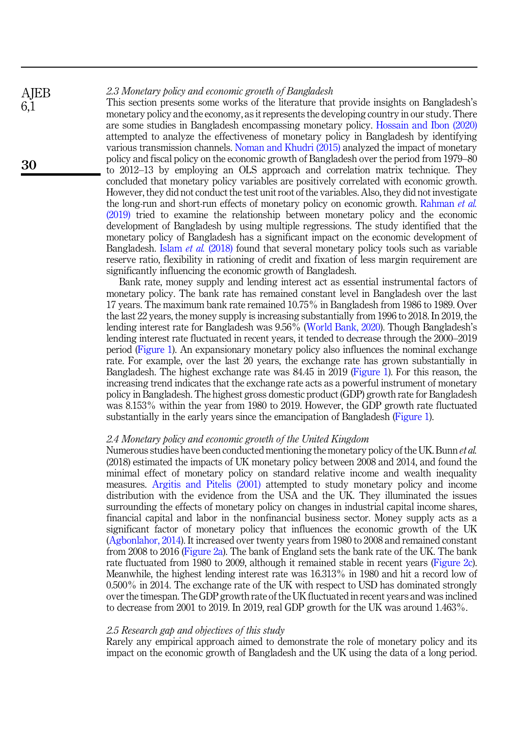#### 2.3 Monetary policy and economic growth of Bangladesh **AIEB**

This section presents some works of the literature that provide insights on Bangladesh's monetary policy and the economy, as it represents the developing country in our study. There are some studies in Bangladesh encompassing monetary policy. [Hossain and Ibon \(2020\)](#page-21-9) attempted to analyze the effectiveness of monetary policy in Bangladesh by identifying various transmission channels. [Noman and Khudri \(2015\)](#page-22-7) analyzed the impact of monetary policy and fiscal policy on the economic growth of Bangladesh over the period from 1979–80 to 2012–13 by employing an OLS approach and correlation matrix technique. They concluded that monetary policy variables are positively correlated with economic growth. However, they did not conduct the test unit root of the variables. Also, they did not investigate the long-run and short-run effects of monetary policy on economic growth. [Rahman](#page-22-0) et al. [\(2019\)](#page-22-0) tried to examine the relationship between monetary policy and the economic development of Bangladesh by using multiple regressions. The study identified that the monetary policy of Bangladesh has a significant impact on the economic development of Bangladesh. Islam et al. [\(2018\)](#page-21-10) found that several monetary policy tools such as variable reserve ratio, flexibility in rationing of credit and fixation of less margin requirement are significantly influencing the economic growth of Bangladesh.

Bank rate, money supply and lending interest act as essential instrumental factors of monetary policy. The bank rate has remained constant level in Bangladesh over the last 17 years. The maximum bank rate remained 10.75% in Bangladesh from 1986 to 1989. Over the last 22 years, the money supply is increasing substantially from 1996 to 2018. In 2019, the lending interest rate for Bangladesh was 9.56% ([World Bank, 2020\)](#page-23-3). Though Bangladesh's lending interest rate fluctuated in recent years, it tended to decrease through the 2000–2019 period [\(Figure 1\)](#page-5-0). An expansionary monetary policy also influences the nominal exchange rate. For example, over the last 20 years, the exchange rate has grown substantially in Bangladesh. The highest exchange rate was 84.45 in 2019 ([Figure 1](#page-5-0)). For this reason, the increasing trend indicates that the exchange rate acts as a powerful instrument of monetary policy in Bangladesh. The highest gross domestic product (GDP) growth rate for Bangladesh was 8.153% within the year from 1980 to 2019. However, the GDP growth rate fluctuated substantially in the early years since the emancipation of Bangladesh ([Figure 1\)](#page-5-0).

# 2.4 Monetary policy and economic growth of the United Kingdom

Numerous studies have been conducted mentioning the monetary policy of the UK. Bunn *et al.* (2018) estimated the impacts of UK monetary policy between 2008 and 2014, and found the minimal effect of monetary policy on standard relative income and wealth inequality measures. [Argitis and Pitelis \(2001\)](#page-20-11) attempted to study monetary policy and income distribution with the evidence from the USA and the UK. They illuminated the issues surrounding the effects of monetary policy on changes in industrial capital income shares, financial capital and labor in the nonfinancial business sector. Money supply acts as a significant factor of monetary policy that influences the economic growth of the UK ([Agbonlahor, 2014\)](#page-20-7). It increased over twenty years from 1980 to 2008 and remained constant from 2008 to 2016 ([Figure 2a](#page-6-1)). The bank of England sets the bank rate of the UK. The bank rate fluctuated from 1980 to 2009, although it remained stable in recent years [\(Figure 2c\)](#page-6-1). Meanwhile, the highest lending interest rate was 16.313% in 1980 and hit a record low of 0.500% in 2014. The exchange rate of the UK with respect to USD has dominated strongly over the timespan. The GDP growth rate of the UK fluctuated in recent years and was inclined to decrease from 2001 to 2019. In 2019, real GDP growth for the UK was around 1.463%.

#### 2.5 Research gap and objectives of this study

Rarely any empirical approach aimed to demonstrate the role of monetary policy and its impact on the economic growth of Bangladesh and the UK using the data of a long period.

6,1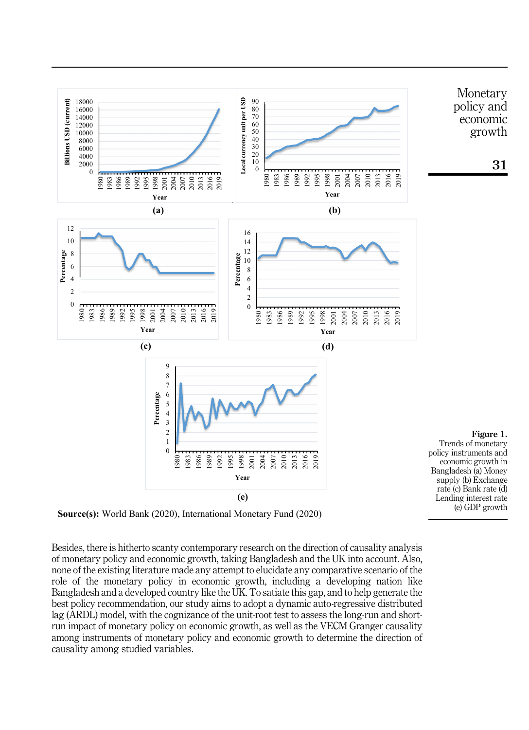<span id="page-5-0"></span>

**Source(s):** World Bank (2020), International Monetary Fund (2020)

Besides, there is hitherto scanty contemporary research on the direction of causality analysis of monetary policy and economic growth, taking Bangladesh and the UK into account. Also, none of the existing literature made any attempt to elucidate any comparative scenario of the role of the monetary policy in economic growth, including a developing nation like Bangladesh and a developed country like the UK. To satiate this gap, and to help generate the best policy recommendation, our study aims to adopt a dynamic auto-regressive distributed lag (ARDL) model, with the cognizance of the unit-root test to assess the long-run and shortrun impact of monetary policy on economic growth, as well as the VECM Granger causality among instruments of monetary policy and economic growth to determine the direction of causality among studied variables.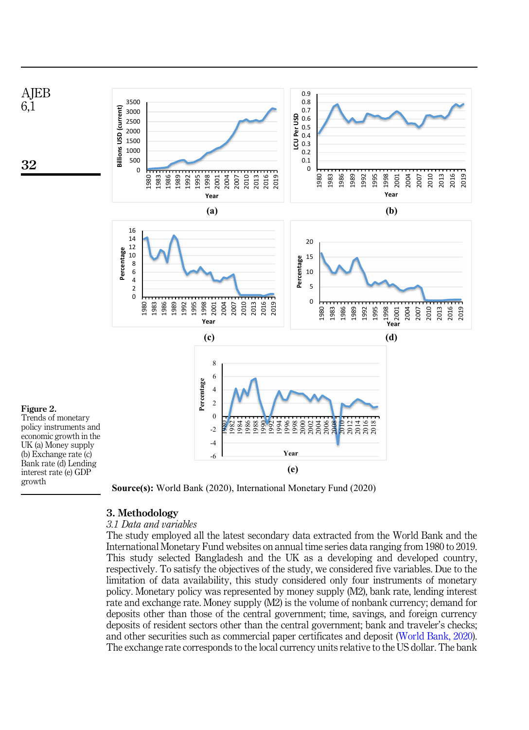<span id="page-6-1"></span>



# <span id="page-6-0"></span>3. Methodology

# 3.1 Data and variables

The study employed all the latest secondary data extracted from the World Bank and the International Monetary Fund websites on annual time series data ranging from 1980 to 2019. This study selected Bangladesh and the UK as a developing and developed country, respectively. To satisfy the objectives of the study, we considered five variables. Due to the limitation of data availability, this study considered only four instruments of monetary policy. Monetary policy was represented by money supply (M2), bank rate, lending interest rate and exchange rate. Money supply (M2) is the volume of nonbank currency; demand for deposits other than those of the central government; time, savings, and foreign currency deposits of resident sectors other than the central government; bank and traveler's checks; and other securities such as commercial paper certificates and deposit ([World Bank, 2020\)](#page-23-3). The exchange rate corresponds to the local currency units relative to the US dollar. The bank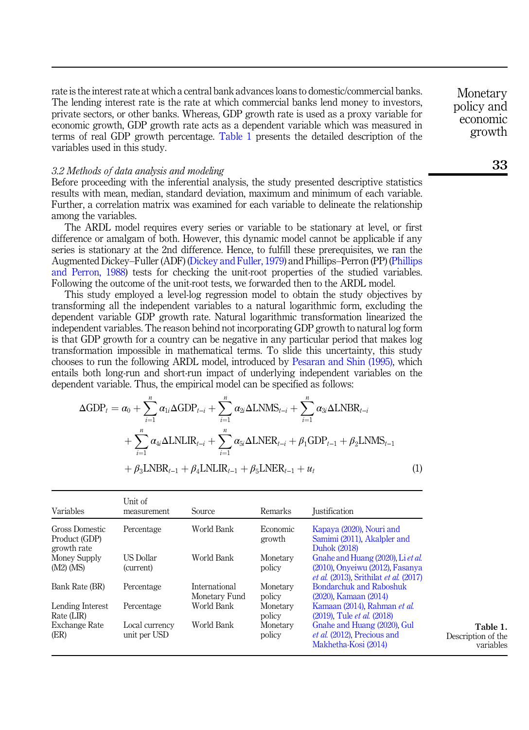rate is the interest rate at which a central bank advances loans to domestic/commercial banks. The lending interest rate is the rate at which commercial banks lend money to investors, private sectors, or other banks. Whereas, GDP growth rate is used as a proxy variable for economic growth, GDP growth rate acts as a dependent variable which was measured in terms of real GDP growth percentage. Table 1 presents the detailed description of the variables used in this study.

# 3.2 Methods of data analysis and modeling

Before proceeding with the inferential analysis, the study presented descriptive statistics results with mean, median, standard deviation, maximum and minimum of each variable. Further, a correlation matrix was examined for each variable to delineate the relationship among the variables.

The ARDL model requires every series or variable to be stationary at level, or first difference or amalgam of both. However, this dynamic model cannot be applicable if any series is stationary at the 2nd difference. Hence, to fulfill these prerequisites, we ran the Augmented Dickey–Fuller (ADF) [\(Dickey and Fuller, 1979\)](#page-20-12) and Phillips–Perron (PP) [\(Phillips](#page-22-8) [and Perron, 1988\)](#page-22-8) tests for checking the unit-root properties of the studied variables. Following the outcome of the unit-root tests, we forwarded then to the ARDL model.

This study employed a level-log regression model to obtain the study objectives by transforming all the independent variables to a natural logarithmic form, excluding the dependent variable GDP growth rate. Natural logarithmic transformation linearized the independent variables. The reason behind not incorporating GDP growth to natural log form is that GDP growth for a country can be negative in any particular period that makes log transformation impossible in mathematical terms. To slide this uncertainty, this study chooses to run the following ARDL model, introduced by [Pesaran and Shin \(1995\)](#page-22-9), which entails both long-run and short-run impact of underlying independent variables on the

dependent variable. Thus, the empirical model can be specified as follows:  
\n
$$
\Delta GDP_t = \alpha_0 + \sum_{i=1}^n \alpha_{1i} \Delta GDP_{t-i} + \sum_{i=1}^n \alpha_{2i} \Delta LNMS_{t-i} + \sum_{i=1}^n \alpha_{3i} \Delta LNBR_{t-i} + \sum_{i=1}^n \alpha_{4i} \Delta LNLIR_{t-i} + \sum_{i=1}^n \alpha_{5i} \Delta LNER_{t-i} + \beta_1 GDP_{t-1} + \beta_2 LNMS_{t-1} + \beta_3 LNBR_{t-1} + \beta_4 LNLIR_{t-1} + \beta_5 LNER_{t-1} + u_t
$$
\n(1)

| Variables                                      | Unit of<br>measurement         | Source                         | Remarks            | <b>Iustification</b>                                                                                                        |
|------------------------------------------------|--------------------------------|--------------------------------|--------------------|-----------------------------------------------------------------------------------------------------------------------------|
| Gross Domestic<br>Product (GDP)<br>growth rate | Percentage                     | World Bank                     | Economic<br>growth | Kapaya (2020), Nouri and<br>Samimi (2011), Akalpler and<br>Duhok (2018)                                                     |
| Money Supply<br>(M2) (MS)                      | <b>US Dollar</b><br>(current)  | World Bank                     | Monetary<br>policy | Gnahe and Huang (2020), Liet al.<br>(2010), Onyeiwu (2012), Fasanya<br><i>et al.</i> (2013). Srithilat <i>et al.</i> (2017) |
| Bank Rate (BR)                                 | Percentage                     | International<br>Monetary Fund | Monetary<br>policy | Bondarchuk and Raboshuk<br>$(2020)$ , Kamaan $(2014)$                                                                       |
| Lending Interest<br>Rate (LIR)                 | Percentage                     | World Bank                     | Monetary<br>policy | Kamaan (2014), Rahman et al.<br>(2019). Tule et al. (2018)                                                                  |
| Exchange Rate<br>(ER)                          | Local currency<br>unit per USD | World Bank                     | Monetary<br>policy | Gnahe and Huang (2020), Gul<br><i>et al.</i> (2012). Precious and<br>Makhetha-Kosi (2014)                                   |

Monetary policy and economic growth

Table 1. Description of the variables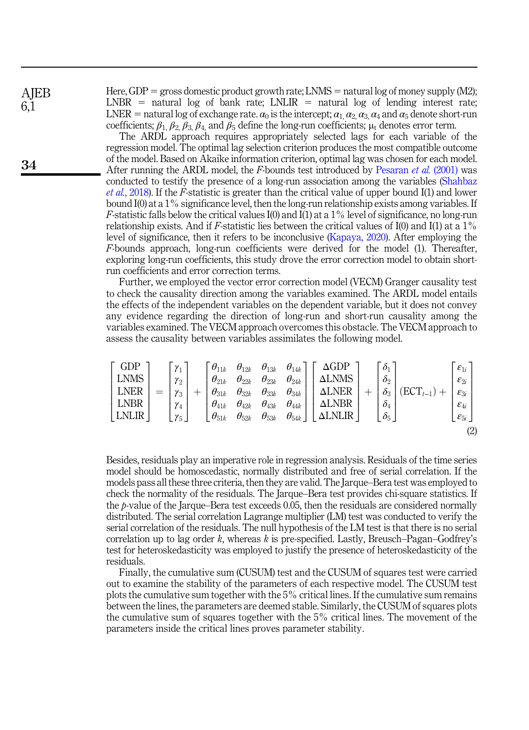**AIEB** 6,1

34

Here, GDP = gross domestic product growth rate; LNMS = natural log of money supply (M2); LNBR = natural log of bank rate; LNLIR = natural log of lending interest rate; LNER = natural log of exchange rate.  $\alpha_0$  is the intercept;  $\alpha_1, \alpha_2, \alpha_3, \alpha_4$  and  $\alpha_5$  denote short-run coefficients;  $\beta_1$ ,  $\beta_2$ ,  $\beta_3$ ,  $\beta_4$ , and  $\beta_5$  define the long-run coefficients;  $\mu_t$  denotes error term.

The ARDL approach requires appropriately selected lags for each variable of the regression model. The optimal lag selection criterion produces the most compatible outcome of the model. Based on Akaike information criterion, optimal lag was chosen for each model. After running the ARDL model, the F-bounds test introduced by [Pesaran](#page-22-12) *et al.* (2001) was conducted to testify the presence of a long-run association among the variables [\(Shahbaz](#page-22-13) *et al.*[, 2018\)](#page-22-13). If the F-statistic is greater than the critical value of upper bound  $I(1)$  and lower bound I(0) at a 1% significance level, then the long-run relationship exists among variables. If F-statistic falls below the critical values  $I(0)$  and  $\overline{I(1)}$  at a 1% level of significance, no long-run relationship exists. And if F-statistic lies between the critical values of  $I(0)$  and  $I(1)$  at a  $1\%$ level of significance, then it refers to be inconclusive ([Kapaya, 2020\)](#page-21-11). After employing the F-bounds approach, long-run coefficients were derived for the model (1). Thereafter, exploring long-run coefficients, this study drove the error correction model to obtain shortrun coefficients and error correction terms.

Further, we employed the vector error correction model (VECM) Granger causality test to check the causality direction among the variables examined. The ARDL model entails the effects of the independent variables on the dependent variable, but it does not convey any evidence regarding the direction of long-run and short-run causality among the variables examined. The VECM approach overcomes this obstacle. The VECM approach to assess the causality between variables assimilates the following model.

$$
\begin{bmatrix}\nGDP \\
LNMS \\
LNER \\
LNER\n\end{bmatrix} = \begin{bmatrix}\n\gamma_1 \\
\gamma_2 \\
\gamma_3 \\
\gamma_4 \\
\gamma_5\n\end{bmatrix} + \begin{bmatrix}\n\theta_{11k} & \theta_{12k} & \theta_{13k} & \theta_{14k} \\
\theta_{21k} & \theta_{22k} & \theta_{23k} & \theta_{24k} \\
\theta_{31k} & \theta_{32k} & \theta_{33k} & \theta_{34k} \\
\theta_{41k} & \theta_{42k} & \theta_{43k} & \theta_{44k} \\
\theta_{51k} & \theta_{52k} & \theta_{53k} & \theta_{54k}\n\end{bmatrix} \begin{bmatrix}\n\Delta GDP \\
\Delta LNMS \\
\Delta LNER \\
\Delta LNER\n\end{bmatrix} + \begin{bmatrix}\n\delta_1 \\
\delta_2 \\
\delta_3 \\
\delta_4 \\
\delta_5\n\end{bmatrix} (ECT_{t-1}) + \begin{bmatrix}\n\epsilon_{1i} \\
\epsilon_{2i} \\
\epsilon_{3i} \\
\epsilon_{4i} \\
\epsilon_{5i}\n\end{bmatrix}
$$
\n(2)

Besides, residuals play an imperative role in regression analysis. Residuals of the time series model should be homoscedastic, normally distributed and free of serial correlation. If the models pass all these three criteria, then they are valid. The Jarque–Bera test was employed to check the normality of the residuals. The Jarque–Bera test provides chi-square statistics. If the p-value of the Jarque–Bera test exceeds 0.05, then the residuals are considered normally distributed. The serial correlation Lagrange multiplier (LM) test was conducted to verify the serial correlation of the residuals. The null hypothesis of the LM test is that there is no serial correlation up to lag order k, whereas k is pre-specified. Lastly, Breusch–Pagan–Godfrey's test for heteroskedasticity was employed to justify the presence of heteroskedasticity of the residuals.

Finally, the cumulative sum (CUSUM) test and the CUSUM of squares test were carried out to examine the stability of the parameters of each respective model. The CUSUM test plots the cumulative sum together with the 5% critical lines. If the cumulative sum remains between the lines, the parameters are deemed stable. Similarly, the CUSUM of squares plots the cumulative sum of squares together with the 5% critical lines. The movement of the parameters inside the critical lines proves parameter stability.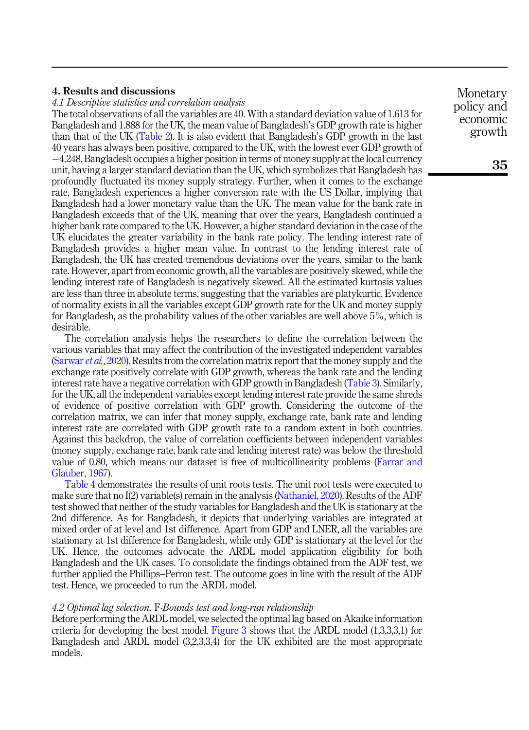# <span id="page-9-0"></span>4. Results and discussions

4.1 Descriptive statistics and correlation analysis

The total observations of all the variables are 40. With a standard deviation value of 1.613 for Bangladesh and 1.888 for the UK, the mean value of Bangladesh's GDP growth rate is higher than that of the UK [\(Table 2\)](#page-10-0). It is also evident that Bangladesh's GDP growth in the last 40 years has always been positive, compared to the UK, with the lowest ever GDP growth of -4.248. Bangladesh occupies a higher position in terms of money supply at the local currency unit, having a larger standard deviation than the UK, which symbolizes that Bangladesh has profoundly fluctuated its money supply strategy. Further, when it comes to the exchange rate, Bangladesh experiences a higher conversion rate with the US Dollar, implying that Bangladesh had a lower monetary value than the UK. The mean value for the bank rate in Bangladesh exceeds that of the UK, meaning that over the years, Bangladesh continued a higher bank rate compared to the UK. However, a higher standard deviation in the case of the UK elucidates the greater variability in the bank rate policy. The lending interest rate of Bangladesh provides a higher mean value. In contrast to the lending interest rate of Bangladesh, the UK has created tremendous deviations over the years, similar to the bank rate. However, apart from economic growth, all the variables are positively skewed, while the lending interest rate of Bangladesh is negatively skewed. All the estimated kurtosis values are less than three in absolute terms, suggesting that the variables are platykurtic. Evidence of normality exists in all the variables except GDP growth rate for the UK and money supply for Bangladesh, as the probability values of the other variables are well above 5%, which is desirable.

The correlation analysis helps the researchers to define the correlation between the various variables that may affect the contribution of the investigated independent variables ([Sarwar](#page-22-14) *et al.*, 2020). Results from the correlation matrix report that the money supply and the exchange rate positively correlate with GDP growth, whereas the bank rate and the lending interest rate have a negative correlation with GDP growth in Bangladesh [\(Table 3\)](#page-11-0). Similarly, for the UK, all the independent variables except lending interest rate provide the same shreds of evidence of positive correlation with GDP growth. Considering the outcome of the correlation matrix, we can infer that money supply, exchange rate, bank rate and lending interest rate are correlated with GDP growth rate to a random extent in both countries. Against this backdrop, the value of correlation coefficients between independent variables (money supply, exchange rate, bank rate and lending interest rate) was below the threshold value of 0.80, which means our dataset is free of multicollinearity problems ([Farrar and](#page-21-15) [Glauber, 1967\)](#page-21-15).

[Table 4](#page-12-0) demonstrates the results of unit roots tests. The unit root tests were executed to make sure that no I(2) variable(s) remain in the analysis ([Nathaniel, 2020\)](#page-22-15). Results of the ADF test showed that neither of the study variables for Bangladesh and the UK is stationary at the 2nd difference. As for Bangladesh, it depicts that underlying variables are integrated at mixed order of at level and 1st difference. Apart from GDP and LNER, all the variables are stationary at 1st difference for Bangladesh, while only GDP is stationary at the level for the UK. Hence, the outcomes advocate the ARDL model application eligibility for both Bangladesh and the UK cases. To consolidate the findings obtained from the ADF test, we further applied the Phillips–Perron test. The outcome goes in line with the result of the ADF test. Hence, we proceeded to run the ARDL model.

## 4.2 Optimal lag selection, F-Bounds test and long-run relationship

Before performing the ARDL model, we selected the optimal lag based on Akaike information criteria for developing the best model. [Figure 3](#page-13-0) shows that the ARDL model (1,3,3,3,1) for Bangladesh and ARDL model (3,2,3,3,4) for the UK exhibited are the most appropriate models.

Monetary policy and economic growth

35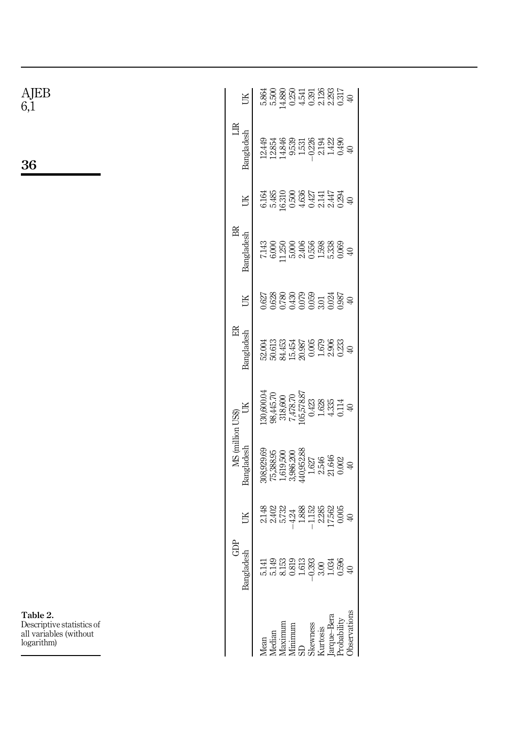<span id="page-10-0"></span>

| AJEB<br>6,1                                                                   | UК                              | $\begin{array}{l} 5.86 \\ 5.86 \\ 5.88 \\ 6.48 \\ 7.49 \\ 8.49 \\ 1.00 \\ 1.01 \\ 1.01 \\ 1.02 \\ 1.03 \\ 1.03 \\ 1.03 \\ 1.03 \\ 1.04 \\ 1.03 \\ 1.03 \\ 1.04 \\ 1.03 \\ 1.04 \\ 1.03 \\ 1.04 \\ 1.05 \\ 1.05 \\ 1.07 \\ 1.08 \\ 1.07 \\ 1.09 \\ 1.01 \\ 1.03 \\ 1.03 \\ 1.05 \\ 1.07 \\ 1.08 \\ 1.07 \\ 1.$                              |
|-------------------------------------------------------------------------------|---------------------------------|--------------------------------------------------------------------------------------------------------------------------------------------------------------------------------------------------------------------------------------------------------------------------------------------------------------------------------------------|
| 36                                                                            | $\mathbb{R}$<br>Bangladesh      | $\begin{array}{l} 12.449 \\ 12.854 \\ 13.853 \\ 14.846 \\ 15.53 \\ -0.226 \\ -0.242 \\ -0.43 \\ -0.49 \\ -0.49 \\ -0.49 \\ -0.49 \\ -0.49 \\ -0.49 \\ -0.49 \\ -0.49 \\ -0.49 \\ -0.49 \\ -0.49 \\ -0.49 \\ -0.49 \\ -0.49 \\ -0.49 \\ -0.49 \\ -0.49 \\ -0.49 \\ -0.49 \\ -0.49 \\ -0.49 \\ -0.49 \\ -0.49 \\ -0.49 \\ -0.49 \\ -0.4$     |
|                                                                               | UK                              | $\begin{array}{l} 41.41 \\ 42.43 \\ 43.50 \\ 44.51 \\ 45.50 \\ 46.50 \\ 47.41 \\ 48.50 \\ 49.50 \\ 40.50 \\ 41.41 \\ 42.50 \\ 49.50 \\ 40.50 \\ 41.50 \\ 42.50 \\ 43.50 \\ 44.50 \\ 45.50 \\ 46.50 \\ 47.50 \\ 48.50 \\ 49.50 \\ 40.50 \\ 41.50 \\ 42.50 \\ 43.50 \\ 44.50 \\ 45.50 \\ 46.50 \\ 47$                                        |
|                                                                               | $\mathbb B$<br>Bangladesh       | $7.143\n6.000\n7.1200\n8.558\n9.338\n11.530\n12.540\n13.330\n14.500\n15.538\n16.540\n17.540\n18.540\n19.540\n19.540\n10.540$                                                                                                                                                                                                               |
|                                                                               | UK                              | $\begin{array}{l} 0.627 \\ 0.628 \\ 0.780 \\ 0.743 \\ 0.000 \\ 0.000 \\ 0.000 \\ 0.000 \\ 0.000 \\ 0.000 \\ 0.000 \\ 0.000 \\ 0.000 \\ 0.000 \\ 0.000 \\ 0.000 \\ 0.000 \\ 0.000 \\ 0.000 \\ 0.000 \\ 0.000 \\ 0.000 \\ 0.000 \\ 0.000 \\ 0.000 \\ 0.000 \\ 0.000 \\ 0.000 \\ 0.000 \\ 0.000 \\ 0.$                                        |
|                                                                               | $\mathbb{E}$<br>Bangladesh      | $52.004$<br>$50.613$<br>$34.453\n15.454\n20.005\n1679\n1679\n20.333\n40$                                                                                                                                                                                                                                                                   |
|                                                                               | В                               | $\begin{array}{c} 130,600.04\\ 98,445.70\\ 318,600\\ 7,478.70\\ 105,578.87 \end{array}$<br>$\begin{array}{c} 0.423 \\ 1.628 \\ 4.335 \end{array}$<br>0.114<br>$\oplus$                                                                                                                                                                     |
|                                                                               | MS (million US\$)<br>Bangladesh | $\begin{array}{c} 440,952.88 \\ 1.627 \\ 1.627 \\ 2.546 \\ 21.646 \\ 0.002 \\ 40 \end{array}$<br>$75,388.95$<br>1,619,500<br>3,986.200                                                                                                                                                                                                     |
|                                                                               | Щ                               | $\begin{array}{l} 2.148 \\ 2.402 \\ 2.673 \\ 5.734 \\ -4.88 \\ -1.52 \\ -1.52 \\ -1.52 \\ -1.52 \\ -1.52 \\ -1.52 \\ -1.52 \\ -1.52 \\ -1.53 \\ -1.53 \\ -1.53 \\ -1.53 \\ -1.53 \\ -1.53 \\ -1.53 \\ -1.53 \\ -1.53 \\ -1.53 \\ -1.53 \\ -1.53 \\ -1.53 \\ -1.53 \\ -1.53 \\ -1.53 \\ -1.53 \\ -1.53 \\ -1.53 \\ -1.53 \\ -1.53 \\ -1.53$ |
|                                                                               | GDP<br>Bangladesh               | $\begin{array}{l} 5.141 \\ 5.149 \\ 5.133 \\ 6.813 \\ 6.933 \\ 7.639 \\ -0.393 \\ -0.393 \\ -0.394 \\ -0.394 \\ -0.394 \\ -0.394 \\ -0.394 \\ -0.394 \\ -0.394 \\ -0.394 \\ -0.394 \\ -0.394 \\ -0.394 \\ -0.394 \\ -0.394 \\ -0.394 \\ -0.394 \\ -0.394 \\ -0.394 \\ -0.394 \\ -0.394 \\ -0.394 \\ -0.394 \\ -0.394 \\ -0.$               |
| Table 2.<br>Descriptive statistics of<br>all variables (without<br>logarithm) |                                 | Observations<br>arque-Bera<br>Probability<br>Skewness<br>Kurtosis<br>Mean<br>Median<br>Maximum<br>Minimum<br>SD                                                                                                                                                                                                                            |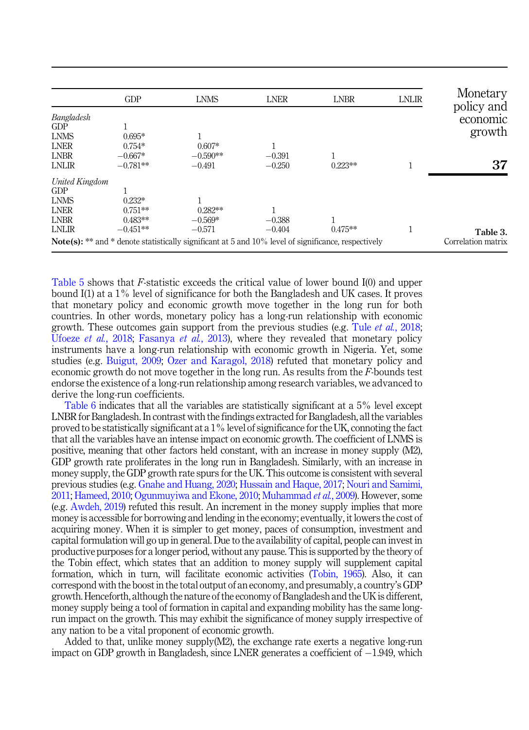<span id="page-11-0"></span>

|                | GDP        | <b>LNMS</b>                                                                                                   | <b>LNER</b> | <b>LNBR</b> | <b>LNLIR</b> | Monetary<br>policy and |
|----------------|------------|---------------------------------------------------------------------------------------------------------------|-------------|-------------|--------------|------------------------|
| Bangladesh     |            |                                                                                                               |             |             |              | economic               |
| GDP            |            |                                                                                                               |             |             |              | growth                 |
| <b>LNMS</b>    | $0.695*$   |                                                                                                               |             |             |              |                        |
| <b>LNER</b>    | $0.754*$   | $0.607*$                                                                                                      | 1           |             |              |                        |
| LNBR           | $-0.667*$  | $-0.590**$                                                                                                    | $-0.391$    |             |              |                        |
| LNLIR          | $-0.781**$ | $-0.491$                                                                                                      | $-0.250$    | $0.223**$   |              | 37                     |
| United Kingdom |            |                                                                                                               |             |             |              |                        |
| GDP            |            |                                                                                                               |             |             |              |                        |
| <b>LNMS</b>    | $0.232*$   |                                                                                                               |             |             |              |                        |
| <b>LNER</b>    | $0.751**$  | $0.282**$                                                                                                     |             |             |              |                        |
| <b>LNBR</b>    | $0.483**$  | $-0.569*$                                                                                                     | $-0.388$    |             |              |                        |
| LNLIR          | $-0.451**$ | $-0.571$                                                                                                      | $-0.404$    | $0.475**$   |              | Table 3.               |
|                |            | <b>Note(s):</b> ** and * denote statistically significant at 5 and $10\%$ level of significance, respectively |             |             |              | Correlation matrix     |

[Table 5](#page-13-0) shows that F-statistic exceeds the critical value of lower bound I(0) and upper bound I(1) at a 1% level of significance for both the Bangladesh and UK cases. It proves that monetary policy and economic growth move together in the long run for both countries. In other words, monetary policy has a long-run relationship with economic growth. These outcomes gain support from the previous studies (e.g. Tule *et al.*[, 2018](#page-23-4); [Ufoeze](#page-23-2) *et al.*, 2018; [Fasanya](#page-21-13) *et al.*, 2013), where they revealed that monetary policy instruments have a long-run relationship with economic growth in Nigeria. Yet, some studies (e.g. [Buigut, 2009;](#page-20-13) [Ozer and Karagol, 2018\)](#page-22-16) refuted that monetary policy and economic growth do not move together in the long run. As results from the  $F$ -bounds test endorse the existence of a long-run relationship among research variables, we advanced to derive the long-run coefficients.

[Table 6](#page-13-0) indicates that all the variables are statistically significant at a 5% level except LNBR for Bangladesh. In contrast with the findings extracted for Bangladesh, all the variables proved to be statistically significant at a  $1\%$  level of significance for the UK, connoting the fact that all the variables have an intense impact on economic growth. The coefficient of LNMS is positive, meaning that other factors held constant, with an increase in money supply (M2), GDP growth rate proliferates in the long run in Bangladesh. Similarly, with an increase in money supply, the GDP growth rate spurs for the UK. This outcome is consistent with several previous studies (e.g. [Gnahe and Huang, 2020;](#page-21-12) [Hussain and Haque, 2017](#page-21-16); [Nouri and Samimi,](#page-22-4) [2011;](#page-22-4) [Hameed, 2010;](#page-21-17) [Ogunmuyiwa and Ekone, 2010;](#page-22-17) [Muhammad](#page-22-18) et al., 2009). However, some (e.g. [Awdeh, 2019\)](#page-20-14) refuted this result. An increment in the money supply implies that more money is accessible for borrowing and lending in the economy; eventually, it lowers the cost of acquiring money. When it is simpler to get money, paces of consumption, investment and capital formulation will go up in general. Due to the availability of capital, people can invest in productive purposes for a longer period, without any pause. This is supported by the theory of the Tobin effect, which states that an addition to money supply will supplement capital formation, which in turn, will facilitate economic activities ([Tobin, 1965\)](#page-23-1). Also, it can correspond with the boost in the total output of an economy, and presumably, a country's GDP growth. Henceforth, although the nature of the economy of Bangladesh and the UK is different, money supply being a tool of formation in capital and expanding mobility has the same longrun impact on the growth. This may exhibit the significance of money supply irrespective of any nation to be a vital proponent of economic growth.

Added to that, unlike money supply $(M2)$ , the exchange rate exerts a negative long-run  $\mathop{\rm impact}\nolimits$  on GDP growth in Bangladesh, since LNER generates a coefficient of  $-1.949$ , which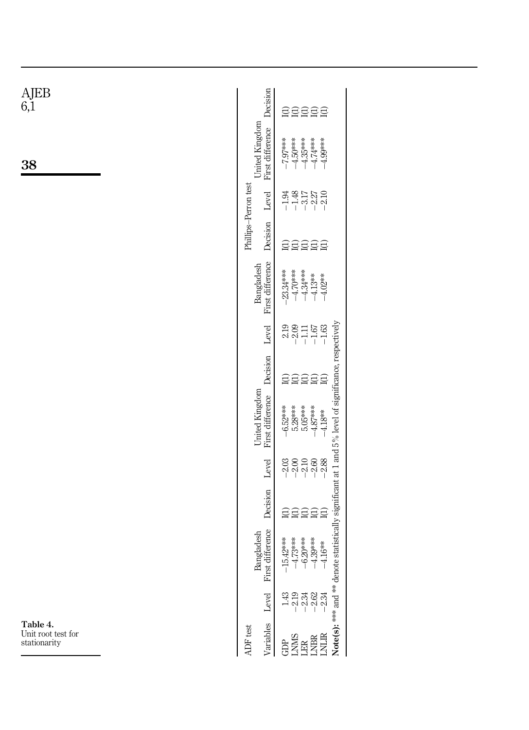<span id="page-12-0"></span>

| $\underset{6,1}{\text{AJEB}}$                  | Decision                           | 55555                                                                                                                                                                                                                                                          |
|------------------------------------------------|------------------------------------|----------------------------------------------------------------------------------------------------------------------------------------------------------------------------------------------------------------------------------------------------------------|
| 38                                             | United Kingdom<br>First difference | $-7.97***$<br>$-4.50***$<br>$-4.35***$<br>$-4.74***$<br>$-4.99***$                                                                                                                                                                                             |
|                                                | Phillips-Perron test<br>Level      | $-1.48$<br>$-2.27$<br>$-2.10$<br>$-1.94$<br>$-3.17$                                                                                                                                                                                                            |
|                                                | Decision                           | 55555                                                                                                                                                                                                                                                          |
|                                                | First difference<br>Bangladesh     | $-23.34***$<br>$-4.70***$<br>$-4.34***$<br>$-4.13**$<br>$-4.02**$                                                                                                                                                                                              |
|                                                | Level                              | 2.19<br>$-2.09$<br>$\begin{array}{c} -1.67 \\ -1.63 \end{array}$<br>$-1.11$                                                                                                                                                                                    |
|                                                | Decision                           | 55555                                                                                                                                                                                                                                                          |
|                                                | United Kingdom<br>First difference | $-6.52***$<br>5.28***<br>5.05***<br>$-4.87***$<br>$-4.18**$                                                                                                                                                                                                    |
|                                                | Level                              | $\begin{array}{l} 0.000000\\ 0.000000\\ 0.000000\\ 0.000000\\ 0.00000\\ 0.00000\\ 0.00000\\ 0.00000\\ 0.00000\\ 0.00000\\ 0.00000\\ 0.00000\\ 0.00000\\ 0.00000\\ 0.00000\\ 0.00000\\ 0.00000\\ 0.00000\\ 0.00000\\ 0.00000\\ 0.00000\\ 0.00000\\ 0.00000\\ 0$ |
|                                                | Decision                           | 55555                                                                                                                                                                                                                                                          |
|                                                | Bangladesh<br>First difference     | Note(s): *** and ** denote statistically significant at 1 and 5% level of significance, respectively<br>$-4.73***$<br>$-6.20***$<br>$-4.39***$<br>$-15.42***$<br>$-4.16***$                                                                                    |
|                                                | Level                              | $\begin{array}{c} 23 \\ -1 \\ -1 \\ -1 \\ -1 \\ \end{array}$<br>1.43                                                                                                                                                                                           |
| Table 4.<br>Unit root test for<br>stationarity | Variables<br>ADF test              | $\begin{array}{ll} \texttt{GPR} \\ \texttt{LMR} \\ \texttt{LMR} \\ \texttt{LMR} \\ \texttt{LMR} \end{array}$                                                                                                                                                   |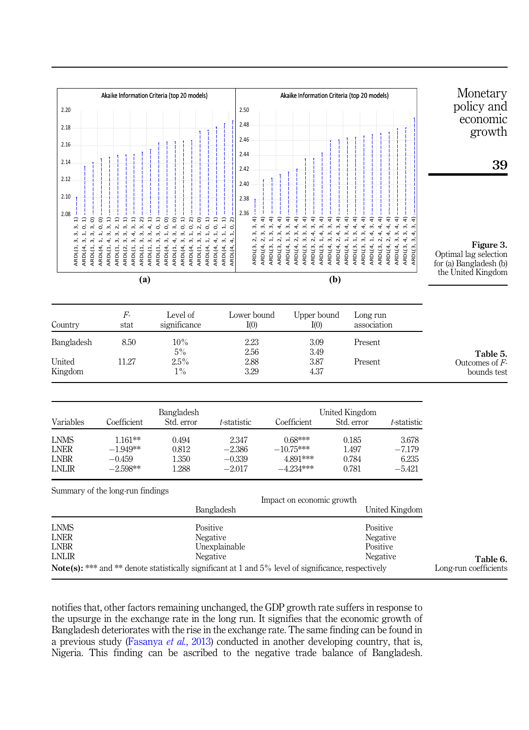<span id="page-13-0"></span>

notifies that, other factors remaining unchanged, the GDP growth rate suffers in response to the upsurge in the exchange rate in the long run. It signifies that the economic growth of Bangladesh deteriorates with the rise in the exchange rate. The same finding can be found in a previous study ([Fasanya](#page-21-13) et al., 2013) conducted in another developing country, that is, Nigeria. This finding can be ascribed to the negative trade balance of Bangladesh.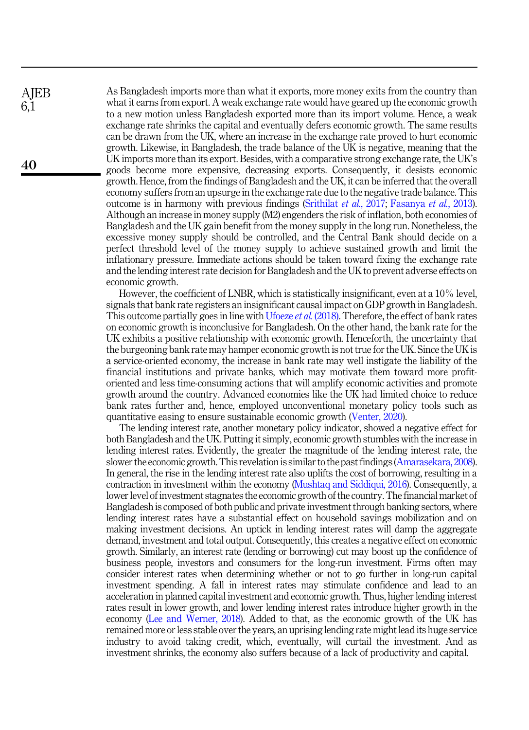As Bangladesh imports more than what it exports, more money exits from the country than what it earns from export. A weak exchange rate would have geared up the economic growth to a new motion unless Bangladesh exported more than its import volume. Hence, a weak exchange rate shrinks the capital and eventually defers economic growth. The same results can be drawn from the UK, where an increase in the exchange rate proved to hurt economic growth. Likewise, in Bangladesh, the trade balance of the UK is negative, meaning that the UK imports more than its export. Besides, with a comparative strong exchange rate, the UK's goods become more expensive, decreasing exports. Consequently, it desists economic growth. Hence, from the findings of Bangladesh and the UK, it can be inferred that the overall economy suffers from an upsurge in the exchange rate due to the negative trade balance. This outcome is in harmony with previous findings ([Srithilat](#page-22-11) et al., 2017; [Fasanya](#page-21-13) et al., 2013). Although an increase in money supply (M2) engenders the risk of inflation, both economies of Bangladesh and the UK gain benefit from the money supply in the long run. Nonetheless, the excessive money supply should be controlled, and the Central Bank should decide on a perfect threshold level of the money supply to achieve sustained growth and limit the inflationary pressure. Immediate actions should be taken toward fixing the exchange rate and the lending interest rate decision for Bangladesh and the UK to prevent adverse effects on economic growth.

However, the coefficient of LNBR, which is statistically insignificant, even at a 10% level, signals that bank rate registers an insignificant causal impact on GDP growth in Bangladesh. This outcome partially goes in line with [Ufoeze](#page-23-2) *et al.* (2018). Therefore, the effect of bank rates on economic growth is inconclusive for Bangladesh. On the other hand, the bank rate for the UK exhibits a positive relationship with economic growth. Henceforth, the uncertainty that the burgeoning bank rate may hamper economic growth is not true for the UK. Since the UK is a service-oriented economy, the increase in bank rate may well instigate the liability of the financial institutions and private banks, which may motivate them toward more profitoriented and less time-consuming actions that will amplify economic activities and promote growth around the country. Advanced economies like the UK had limited choice to reduce bank rates further and, hence, employed unconventional monetary policy tools such as quantitative easing to ensure sustainable economic growth ([Venter, 2020](#page-23-5)).

The lending interest rate, another monetary policy indicator, showed a negative effect for both Bangladesh and the UK. Putting it simply, economic growth stumbles with the increase in lending interest rates. Evidently, the greater the magnitude of the lending interest rate, the slower the economic growth. This revelation is similar to the past findings ([Amarasekara, 2008\)](#page-20-15). In general, the rise in the lending interest rate also uplifts the cost of borrowing, resulting in a contraction in investment within the economy ([Mushtaq and Siddiqui, 2016](#page-22-19)). Consequently, a lower level of investment stagnates the economic growth of the country. The financial market of Bangladesh is composed of both public and private investment through banking sectors, where lending interest rates have a substantial effect on household savings mobilization and on making investment decisions. An uptick in lending interest rates will damp the aggregate demand, investment and total output. Consequently, this creates a negative effect on economic growth. Similarly, an interest rate (lending or borrowing) cut may boost up the confidence of business people, investors and consumers for the long-run investment. Firms often may consider interest rates when determining whether or not to go further in long-run capital investment spending. A fall in interest rates may stimulate confidence and lead to an acceleration in planned capital investment and economic growth. Thus, higher lending interest rates result in lower growth, and lower lending interest rates introduce higher growth in the economy ([Lee and Werner, 2018](#page-21-18)). Added to that, as the economic growth of the UK has remained more or less stable over the years, an uprising lending rate might lead its huge service industry to avoid taking credit, which, eventually, will curtail the investment. And as investment shrinks, the economy also suffers because of a lack of productivity and capital.

40

**AIEB** 6,1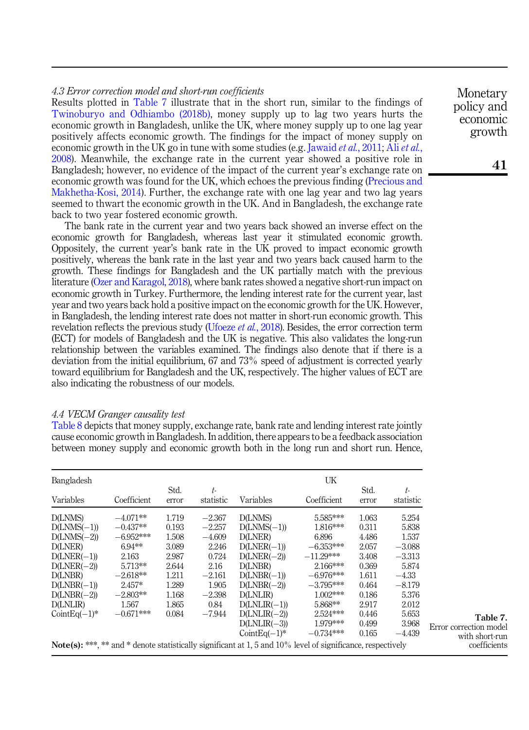# 4.3 Error correction model and short-run coefficients

Results plotted in Table 7 illustrate that in the short run, similar to the findings of [Twinoburyo and Odhiambo \(2018b\)](#page-23-6), money supply up to lag two years hurts the economic growth in Bangladesh, unlike the UK, where money supply up to one lag year positively affects economic growth. The findings for the impact of money supply on economic growth in the UK go in tune with some studies (e.g. [Jawaid](#page-21-19) *[et al.](#page-20-16)*, 2011; Ali *et al.*, [2008\)](#page-20-16). Meanwhile, the exchange rate in the current year showed a positive role in Bangladesh; however, no evidence of the impact of the current year's exchange rate on economic growth was found for the UK, which echoes the previous finding [\(Precious and](#page-22-5) [Makhetha-Kosi, 2014\)](#page-22-5). Further, the exchange rate with one lag year and two lag years seemed to thwart the economic growth in the UK. And in Bangladesh, the exchange rate back to two year fostered economic growth.

The bank rate in the current year and two years back showed an inverse effect on the economic growth for Bangladesh, whereas last year it stimulated economic growth. Oppositely, the current year's bank rate in the UK proved to impact economic growth positively, whereas the bank rate in the last year and two years back caused harm to the growth. These findings for Bangladesh and the UK partially match with the previous literature [\(Ozer and Karagol, 2018\)](#page-22-16), where bank rates showed a negative short-run impact on economic growth in Turkey. Furthermore, the lending interest rate for the current year, last year and two years back hold a positive impact on the economic growth for the UK. However, in Bangladesh, the lending interest rate does not matter in short-run economic growth. This revelation reflects the previous study ([Ufoeze](#page-23-2) et al., 2018). Besides, the error correction term (ECT) for models of Bangladesh and the UK is negative. This also validates the long-run relationship between the variables examined. The findings also denote that if there is a deviation from the initial equilibrium, 67 and 73% speed of adjustment is corrected yearly toward equilibrium for Bangladesh and the UK, respectively. The higher values of ECT are also indicating the robustness of our models.

# 4.4 VECM Granger causality test

[Table 8](#page-16-0) depicts that money supply, exchange rate, bank rate and lending interest rate jointly cause economic growth in Bangladesh. In addition, there appears to be a feedback association between money supply and economic growth both in the long run and short run. Hence,

| Bangladesh       |             |               |                   |                                                                                                                       | UK          |               |                 |       |
|------------------|-------------|---------------|-------------------|-----------------------------------------------------------------------------------------------------------------------|-------------|---------------|-----------------|-------|
| Variables        | Coefficient | Std.<br>error | $t-$<br>statistic | Variables                                                                                                             | Coefficient | Std.<br>error | t-<br>statistic |       |
| D(LNMS)          | $-4.071**$  | 1.719         | $-2.367$          | D(LNMS)                                                                                                               | 5.585***    | 1.063         | 5.254           |       |
| $D(LNMS(-1))$    | $-0.437**$  | 0.193         | $-2.257$          | $D(LNMS(-1))$                                                                                                         | 1.816***    | 0.311         | 5.838           |       |
| $D(LNMS(-2))$    | $-6.952***$ | 1.508         | $-4.609$          | D(LNER)                                                                                                               | 6.896       | 4.486         | 1.537           |       |
| D(LNER)          | $6.94***$   | 3.089         | 2.246             | $D(LNER(-1))$                                                                                                         | $-6.353***$ | 2.057         | $-3.088$        |       |
| $D(LNER(-1))$    | 2.163       | 2.987         | 0.724             | $D(LNER(-2))$                                                                                                         | $-11.29***$ | 3.408         | $-3.313$        |       |
| $D(LNER(-2))$    | $5.713**$   | 2.644         | 2.16              | D(LNBR)                                                                                                               | $2.166***$  | 0.369         | 5.874           |       |
| D(LNBR)          | $-2.618**$  | 1.211         | $-2.161$          | $D(LNBR(-1))$                                                                                                         | $-6.976***$ | 1.611         | $-4.33$         |       |
| $D(LNBR(-1))$    | $2.457*$    | 1.289         | 1.905             | $D(LNBR(-2))$                                                                                                         | $-3.795***$ | 0.464         | $-8.179$        |       |
| $D(LNBR(-2))$    | $-2.803**$  | 1.168         | $-2.398$          | D(LNLIR)                                                                                                              | $1.002***$  | 0.186         | 5.376           |       |
| D(LNLIR)         | 1.567       | 1.865         | 0.84              | $D(LNLIR(-1))$                                                                                                        | 5.868**     | 2.917         | 2.012           |       |
| CointEq $(-1)^*$ | $-0.671***$ | 0.084         | $-7.944$          | $D(LNLIR(-2))$                                                                                                        | $2.524***$  | 0.446         | 5.653           |       |
|                  |             |               |                   | $D(LNLIR(-3))$                                                                                                        | 1.979***    | 0.499         | 3.968           | Error |
|                  |             |               |                   | CointEq $(-1)^*$                                                                                                      | $-0.734***$ | 0.165         | $-4.439$        |       |
|                  |             |               |                   | <b>Note(s):</b> ***, ** and * denote statistically significant at 1, 5 and $10\%$ level of significance, respectively |             |               |                 |       |

Monetary policy and economic growth

Table 7. correction model with short-run coefficients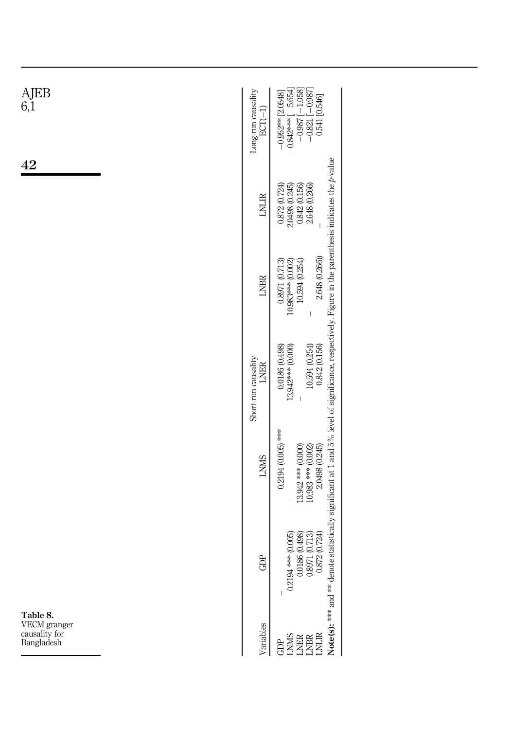<span id="page-16-0"></span>

| AJEB<br>6,1                                             | Long-run causality<br>$\text{ECT}(-1)$ | $-0.987[-1.058]$<br>$-0.821[-0.987]$<br>$\begin{array}{r} -0.952** \left[2.0548\right] \\ -0.842*** \left[-5.654\right] \end{array}$<br>0.541 [0.546]                                                                                                                                                       |
|---------------------------------------------------------|----------------------------------------|-------------------------------------------------------------------------------------------------------------------------------------------------------------------------------------------------------------------------------------------------------------------------------------------------------------|
| 42                                                      | <b>LNLIR</b>                           | 2.648 (0.266)<br>0.872(0.724)<br>$\begin{array}{c} 2.0498\ (0.245) \\ 0.842\ (0.156) \end{array}$                                                                                                                                                                                                           |
|                                                         | <b>LNBR</b>                            | 2.648 (0.266))<br>$0.8971(0.713)$<br>10.983*** (0.002)<br>10.594 (0.254)<br>$\mid$                                                                                                                                                                                                                          |
|                                                         | Short-run causality<br><b>LNER</b>     | $\begin{array}{c} 0.0186 \ (0.498) \\ 13.942*** (0.000) \end{array}$<br>$10.594(0.254)$<br>$0.842(0.156)$<br>I                                                                                                                                                                                              |
|                                                         | <b>LNMS</b>                            | statistically significant at 1 and 5% level of significance, respectively. Figure in the parenthesis indicates the $p$ -value<br>$0.2194(0.005)$ ***<br>$\begin{array}{c} 13.942 \stackrel{***}{\longrightarrow} (0.000) \\ 10.983 \stackrel{***}{\longrightarrow} (0.002) \\ 2.0498 \ (0.245) \end{array}$ |
|                                                         | n<br>ලි                                | $\begin{array}{c} 0.0186\ (0.498)\\ 0.8971\ (0.713)\\ 0.872\ (0.724) \end{array}$<br>$0.2194$ *** $(0.005)$                                                                                                                                                                                                 |
| Table 8.<br>VECM granger<br>causality for<br>Bangladesh | ariables                               | Note(s): *** and ** denote<br><b>GENERAL</b><br>SEREA<br>GENER                                                                                                                                                                                                                                              |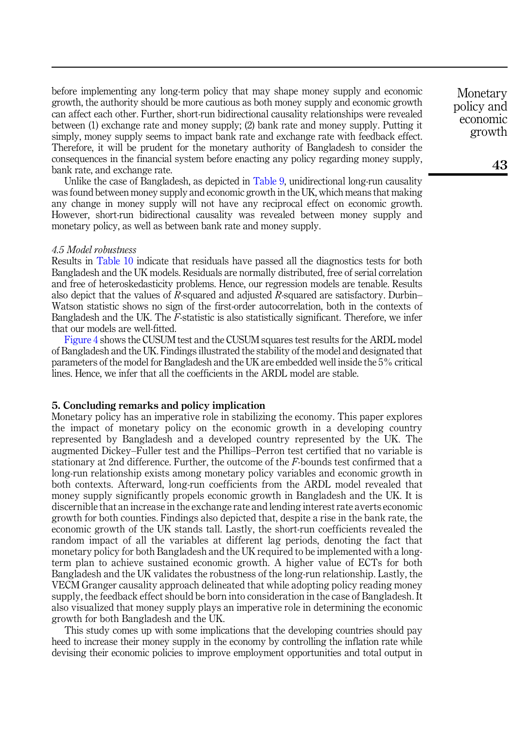before implementing any long-term policy that may shape money supply and economic growth, the authority should be more cautious as both money supply and economic growth can affect each other. Further, short-run bidirectional causality relationships were revealed between (1) exchange rate and money supply; (2) bank rate and money supply. Putting it simply, money supply seems to impact bank rate and exchange rate with feedback effect. Therefore, it will be prudent for the monetary authority of Bangladesh to consider the consequences in the financial system before enacting any policy regarding money supply, bank rate, and exchange rate.

Unlike the case of Bangladesh, as depicted in [Table 9](#page-18-0), unidirectional long-run causality was found between money supply and economic growth in the UK, which means that making any change in money supply will not have any reciprocal effect on economic growth. However, short-run bidirectional causality was revealed between money supply and monetary policy, as well as between bank rate and money supply.

#### 4.5 Model robustness

Results in [Table 10](#page-19-0) indicate that residuals have passed all the diagnostics tests for both Bangladesh and the UK models. Residuals are normally distributed, free of serial correlation and free of heteroskedasticity problems. Hence, our regression models are tenable. Results also depict that the values of  $R$ -squared and adjusted  $R$ -squared are satisfactory. Durbin– Watson statistic shows no sign of the first-order autocorrelation, both in the contexts of Bangladesh and the UK. The F-statistic is also statistically significant. Therefore, we infer that our models are well-fitted.

[Figure 4](#page-19-0) shows the CUSUM test and the CUSUM squares test results for the ARDL model of Bangladesh and the UK. Findings illustrated the stability of the model and designated that parameters of the model for Bangladesh and the UK are embedded well inside the 5% critical lines. Hence, we infer that all the coefficients in the ARDL model are stable.

## <span id="page-17-0"></span>5. Concluding remarks and policy implication

Monetary policy has an imperative role in stabilizing the economy. This paper explores the impact of monetary policy on the economic growth in a developing country represented by Bangladesh and a developed country represented by the UK. The augmented Dickey–Fuller test and the Phillips–Perron test certified that no variable is stationary at 2nd difference. Further, the outcome of the  $F$ -bounds test confirmed that a long-run relationship exists among monetary policy variables and economic growth in both contexts. Afterward, long-run coefficients from the ARDL model revealed that money supply significantly propels economic growth in Bangladesh and the UK. It is discernible that an increase in the exchange rate and lending interest rate averts economic growth for both counties. Findings also depicted that, despite a rise in the bank rate, the economic growth of the UK stands tall. Lastly, the short-run coefficients revealed the random impact of all the variables at different lag periods, denoting the fact that monetary policy for both Bangladesh and the UK required to be implemented with a longterm plan to achieve sustained economic growth. A higher value of ECTs for both Bangladesh and the UK validates the robustness of the long-run relationship. Lastly, the VECM Granger causality approach delineated that while adopting policy reading money supply, the feedback effect should be born into consideration in the case of Bangladesh. It also visualized that money supply plays an imperative role in determining the economic growth for both Bangladesh and the UK.

This study comes up with some implications that the developing countries should pay heed to increase their money supply in the economy by controlling the inflation rate while devising their economic policies to improve employment opportunities and total output in

Monetary policy and economic growth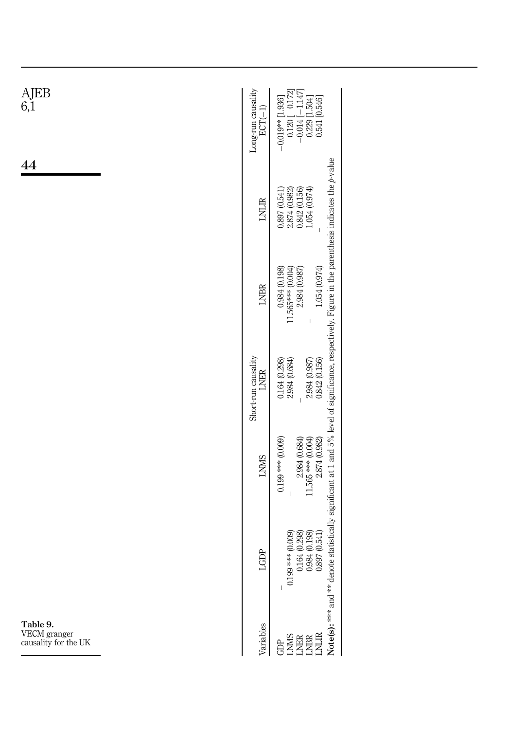<span id="page-18-0"></span>

| $\rm{AJEB} \,$ 6,1                               | Long-run causality<br>$\begin{array}{r} -0.120\, \rule{0pt}{2.2pt}[-0.172] \\ -0.014\, \rule{0pt}{2.2pt}[-1.147] \\ 0.229\, \rule{0pt}{2.2pt}[-504] \\ 0.541\, \rule{0pt}{2.2pt} [0.546] \end{array}$<br>$-0.019**$ [1.936]<br>$ECT(-1)$                                 |
|--------------------------------------------------|--------------------------------------------------------------------------------------------------------------------------------------------------------------------------------------------------------------------------------------------------------------------------|
| 44                                               | $\begin{array}{c} 0.897 \ (0.541) \\ 2.874 \ (0.982) \\ 0.842 \ (0.156) \\ 1.054 \ (0.974) \end{array}$<br>$LNLIR$                                                                                                                                                       |
|                                                  | 1.054(0.974)<br>$\begin{array}{c} 0.984\ (0.198) \\ 11.565*** (0.004) \\ 2.984\ (0.987) \end{array}$<br><b>LNBR</b><br>$\overline{\phantom{a}}$                                                                                                                          |
|                                                  | Short-run causality<br>0.842(0.156)<br>$\begin{array}{c} 0.164 \ (0.298) \\ 2.984 \ (0.684) \end{array}$<br>2.984 (0.987)<br><b>LNER</b><br>$\begin{array}{c} \hline \end{array}$                                                                                        |
|                                                  | $\begin{array}{c} 2.984\ (0.684) \\ 11.565 {~}*** \ (0.004) \\ 2.874\ (0.982) \end{array}$<br>$0.199$ *** (0.009)<br><b>LNMS</b><br>I                                                                                                                                    |
|                                                  | Note(s): *** and ** denote statistically significant at 1 and 5% level of significance, respectively. Figure in the parenthesis indicates the p-value<br>(0.298)<br>(0.541)<br>(6000)<br>ă,<br>$0.199***$<br>$\begin{array}{c} 0.164 \\ 0.984 \\ 0.897 \end{array}$<br>3 |
| Table 9.<br>VECM granger<br>causality for the UK | ariables<br><b>GENERAL<br/>SERBER<br/>GENEREE</b>                                                                                                                                                                                                                        |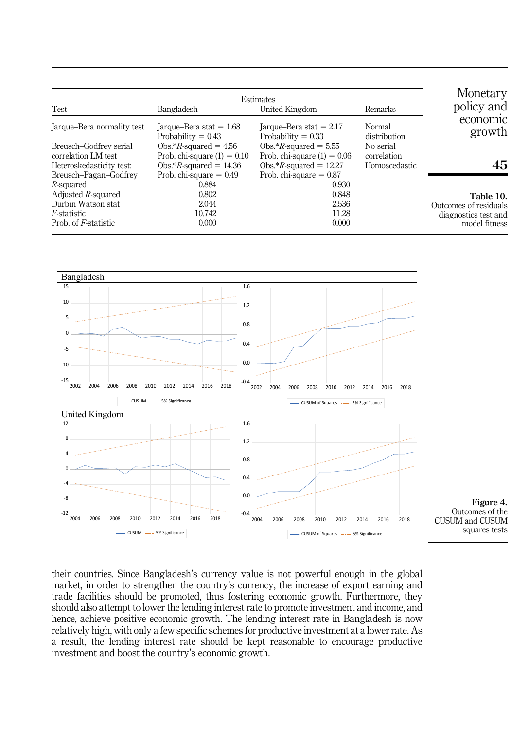<span id="page-19-0"></span>

| Test                       | Monetary<br>policy and                            |                                                   |                        |                       |
|----------------------------|---------------------------------------------------|---------------------------------------------------|------------------------|-----------------------|
| Jarque–Bera normality test | Jarque–Bera stat = $1.68$<br>Probability $= 0.43$ | Jarque–Bera stat $= 2.17$<br>Probability $= 0.33$ | Normal<br>distribution | economic<br>growth    |
| Breusch-Godfrey serial     | Obs.* $R$ -squared = 4.56                         | Obs.* $R$ -squared = 5.55                         | No serial              |                       |
| correlation LM test        | Prob. chi-square $(1) = 0.10$                     | Prob. chi-square $(1) = 0.06$                     | correlation            |                       |
| Heteroskedasticity test:   | Obs.* $R$ -squared = 14.36                        | Obs.* $R$ -squared = 12.27                        | Homoscedastic          | 45                    |
| Breusch-Pagan-Godfrey      | Prob. chi-square $= 0.49$                         | Prob. chi-square $= 0.87$                         |                        |                       |
| R-squared                  | 0.884                                             | 0.930                                             |                        |                       |
| Adjusted $R$ -squared      | 0.802                                             | 0.848                                             |                        | Table 10.             |
| Durbin Watson stat         | 2.044                                             | 2.536                                             |                        | Outcomes of residuals |
| <i>F</i> -statistic        | 10.742                                            | 11.28                                             |                        | diagnostics test and  |
| Prob. of F-statistic       | 0.000                                             | 0.000                                             |                        | model fitness         |



their countries. Since Bangladesh's currency value is not powerful enough in the global market, in order to strengthen the country's currency, the increase of export earning and trade facilities should be promoted, thus fostering economic growth. Furthermore, they should also attempt to lower the lending interest rate to promote investment and income, and hence, achieve positive economic growth. The lending interest rate in Bangladesh is now relatively high, with only a few specific schemes for productive investment at a lower rate. As a result, the lending interest rate should be kept reasonable to encourage productive investment and boost the country's economic growth.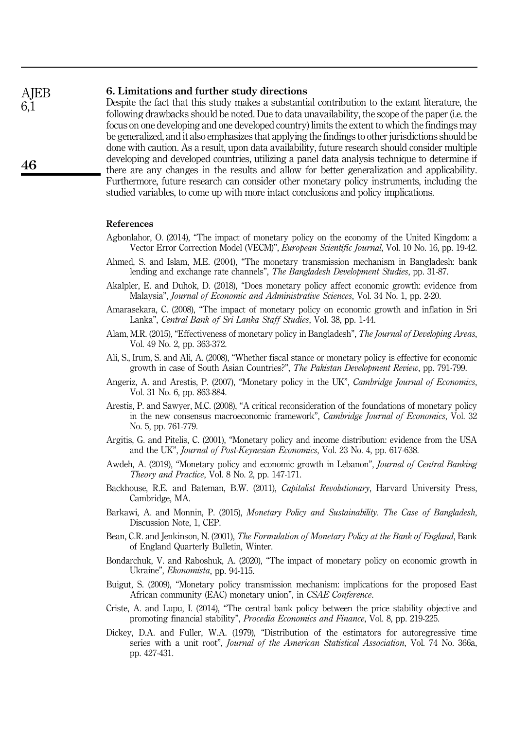#### 6. Limitations and further study directions AJEB

Despite the fact that this study makes a substantial contribution to the extant literature, the following drawbacks should be noted. Due to data unavailability, the scope of the paper (i.e. the focus on one developing and one developed country) limits the extent to which the findings may be generalized, and it also emphasizes that applying the findings to other jurisdictions should be done with caution. As a result, upon data availability, future research should consider multiple developing and developed countries, utilizing a panel data analysis technique to determine if there are any changes in the results and allow for better generalization and applicability. Furthermore, future research can consider other monetary policy instruments, including the studied variables, to come up with more intact conclusions and policy implications.

# References

- <span id="page-20-7"></span>Agbonlahor, O. (2014), "The impact of monetary policy on the economy of the United Kingdom: a Vector Error Correction Model (VECM)", European Scientific Journal, Vol. 10 No. 16, pp. 19-42.
- <span id="page-20-4"></span>Ahmed, S. and Islam, M.E. (2004), "The monetary transmission mechanism in Bangladesh: bank lending and exchange rate channels", The Bangladesh Development Studies, pp. 31-87.
- <span id="page-20-1"></span>Akalpler, E. and Duhok, D. (2018), "Does monetary policy affect economic growth: evidence from Malaysia", Journal of Economic and Administrative Sciences, Vol. 34 No. 1, pp. 2-20.
- <span id="page-20-15"></span>Amarasekara, C. (2008), "The impact of monetary policy on economic growth and inflation in Sri Lanka", Central Bank of Sri Lanka Staff Studies, Vol. 38, pp. 1-44.
- <span id="page-20-3"></span>Alam, M.R. (2015), "Effectiveness of monetary policy in Bangladesh", The Journal of Developing Areas, Vol. 49 No. 2, pp. 363-372.
- <span id="page-20-16"></span>Ali, S., Irum, S. and Ali, A. (2008), "Whether fiscal stance or monetary policy is effective for economic growth in case of South Asian Countries?", The Pakistan Development Review, pp. 791-799.
- <span id="page-20-6"></span>Angeriz, A. and Arestis, P. (2007), "Monetary policy in the UK", Cambridge Journal of Economics, Vol. 31 No. 6, pp. 863-884.
- <span id="page-20-9"></span>Arestis, P. and Sawyer, M.C. (2008), "A critical reconsideration of the foundations of monetary policy in the new consensus macroeconomic framework", Cambridge Journal of Economics, Vol. 32 No. 5, pp. 761-779.
- <span id="page-20-11"></span>Argitis, G. and Pitelis, C. (2001), "Monetary policy and income distribution: evidence from the USA and the UK", Journal of Post-Keynesian Economics, Vol. 23 No. 4, pp. 617-638.
- <span id="page-20-14"></span>Awdeh, A. (2019), "Monetary policy and economic growth in Lebanon", *Journal of Central Banking* Theory and Practice, Vol. 8 No. 2, pp. 147-171.
- <span id="page-20-10"></span>Backhouse, R.E. and Bateman, B.W. (2011), *Capitalist Revolutionary*, Harvard University Press, Cambridge, MA.
- <span id="page-20-5"></span>Barkawi, A. and Monnin, P. (2015), *Monetary Policy and Sustainability. The Case of Bangladesh*, Discussion Note, 1, CEP.
- <span id="page-20-8"></span>Bean, C.R. and Jenkinson, N. (2001), The Formulation of Monetary Policy at the Bank of England, Bank of England Quarterly Bulletin, Winter.
- <span id="page-20-2"></span>Bondarchuk, V. and Raboshuk, A. (2020), "The impact of monetary policy on economic growth in Ukraine", Ekonomista, pp. 94-115.
- <span id="page-20-13"></span>Buigut, S. (2009), "Monetary policy transmission mechanism: implications for the proposed East African community (EAC) monetary union", in CSAE Conference.
- <span id="page-20-0"></span>Criste, A. and Lupu, I. (2014), "The central bank policy between the price stability objective and promoting financial stability", Procedia Economics and Finance, Vol. 8, pp. 219-225.
- <span id="page-20-12"></span>Dickey, D.A. and Fuller, W.A. (1979), "Distribution of the estimators for autoregressive time series with a unit root", *Journal of the American Statistical Association*, Vol. 74 No. 366a, pp. 427-431.

6,1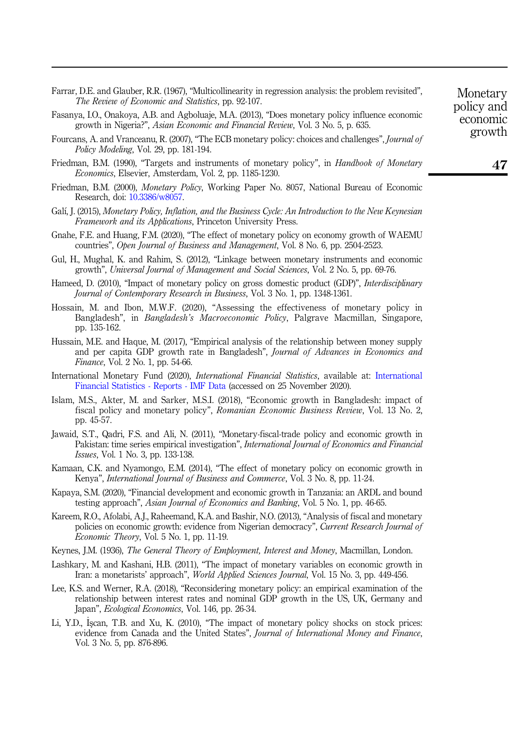<span id="page-21-15"></span>

| Farrar, D.E. and Glauber, R.R. (1967), "Multicollinearity in regression analysis: the problem revisited", |  |
|-----------------------------------------------------------------------------------------------------------|--|
| <i>The Review of Economic and Statistics, pp. 92-107.</i>                                                 |  |

- <span id="page-21-13"></span>Fasanya, I.O., Onakoya, A.B. and Agboluaje, M.A. (2013), "Does monetary policy influence economic growth in Nigeria?", Asian Economic and Financial Review, Vol. 3 No. 5, p. 635.
- <span id="page-21-1"></span>Fourcans, A. and Vranceanu, R. (2007), "The ECB monetary policy: choices and challenges", Journal of Policy Modeling, Vol. 29, pp. 181-194.
- <span id="page-21-5"></span>Friedman, B.M. (1990), "Targets and instruments of monetary policy", in *Handbook of Monetary* Economics, Elsevier, Amsterdam, Vol. 2, pp. 1185-1230.
- <span id="page-21-4"></span>Friedman, B.M. (2000), Monetary Policy, Working Paper No. 8057, National Bureau of Economic Research, doi: [10.3386/w8057](https://doi.org/10.3386/w8057).
- <span id="page-21-2"></span>Galí, I. (2015), Monetary Policy, Inflation, and the Business Cycle: An Introduction to the New Keynesian Framework and its Applications, Princeton University Press.
- <span id="page-21-12"></span>Gnahe, F.E. and Huang, F.M. (2020), "The effect of monetary policy on economy growth of WAEMU countries", Open Journal of Business and Management, Vol. 8 No. 6, pp. 2504-2523.
- <span id="page-21-14"></span>Gul, H., Mughal, K. and Rahim, S. (2012), "Linkage between monetary instruments and economic growth", Universal Journal of Management and Social Sciences, Vol. 2 No. 5, pp. 69-76.
- <span id="page-21-17"></span>Hameed, D. (2010), "Impact of monetary policy on gross domestic product (GDP)", Interdisciplinary Journal of Contemporary Research in Business, Vol. 3 No. 1, pp. 1348-1361.
- <span id="page-21-9"></span>Hossain, M. and Ibon, M.W.F. (2020), "Assessing the effectiveness of monetary policy in Bangladesh", in Bangladesh's Macroeconomic Policy, Palgrave Macmillan, Singapore, pp. 135-162.
- <span id="page-21-16"></span>Hussain, M.E. and Haque, M. (2017), "Empirical analysis of the relationship between money supply and per capita GDP growth rate in Bangladesh", Journal of Advances in Economics and Finance, Vol. 2 No. 1, pp. 54-66.
- International Monetary Fund (2020), International Financial Statistics, available at: International Financial Statistics - Reports - IMF Data (accessed on 25 November 2020).
- <span id="page-21-10"></span>Islam, M.S., Akter, M. and Sarker, M.S.I. (2018), "Economic growth in Bangladesh: impact of fiscal policy and monetary policy", Romanian Economic Business Review, Vol. 13 No. 2, pp. 45-57.
- <span id="page-21-19"></span>Jawaid, S.T., Qadri, F.S. and Ali, N. (2011), "Monetary-fiscal-trade policy and economic growth in Pakistan: time series empirical investigation", International Journal of Economics and Financial Issues, Vol. 1 No. 3, pp. 133-138.
- <span id="page-21-6"></span>Kamaan, C.K. and Nyamongo, E.M. (2014), "The effect of monetary policy on economic growth in Kenya", International Journal of Business and Commerce, Vol. 3 No. 8, pp. 11-24.
- <span id="page-21-11"></span>Kapaya, S.M. (2020), "Financial development and economic growth in Tanzania: an ARDL and bound testing approach", Asian Journal of Economics and Banking, Vol. 5 No. 1, pp. 46-65.
- <span id="page-21-8"></span>Kareem, R.O., Afolabi, A.J., Raheemand, K.A. and Bashir, N.O. (2013), "Analysis of fiscal and monetary policies on economic growth: evidence from Nigerian democracy", Current Research Journal of Economic Theory, Vol. 5 No. 1, pp. 11-19.
- <span id="page-21-3"></span>Keynes, J.M. (1936), The General Theory of Employment, Interest and Money, Macmillan, London.
- <span id="page-21-7"></span>Lashkary, M. and Kashani, H.B. (2011), "The impact of monetary variables on economic growth in Iran: a monetarists' approach", World Applied Sciences Journal, Vol. 15 No. 3, pp. 449-456.
- <span id="page-21-18"></span>Lee, K.S. and Werner, R.A. (2018), "Reconsidering monetary policy: an empirical examination of the relationship between interest rates and nominal GDP growth in the US, UK, Germany and Japan", Ecological Economics, Vol. 146, pp. 26-34.
- <span id="page-21-0"></span>Li, Y.D., İşcan, T.B. and Xu, K. (2010), "The impact of monetary policy shocks on stock prices: evidence from Canada and the United States", Journal of International Money and Finance, Vol. 3 No. 5, pp. 876-896.

economic growth

47

Monetary policy and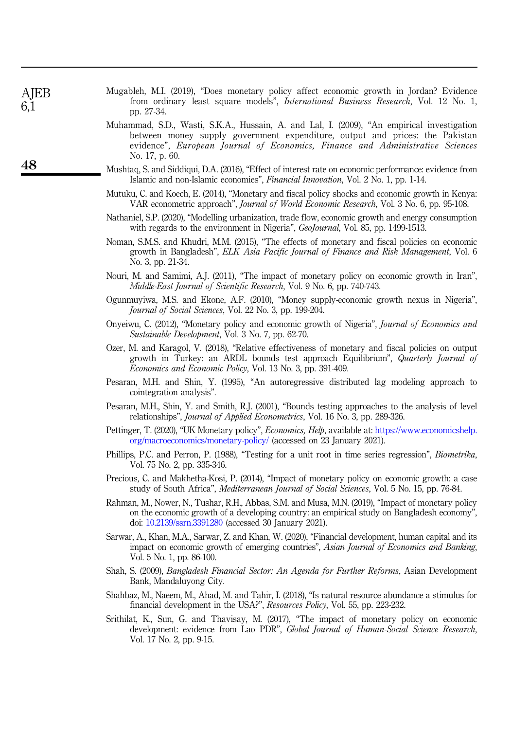<span id="page-22-6"></span>

| Mugableh, M.I. (2019), "Does monetary policy affect economic growth in Jordan? Evidence |                                                                                             |  |  |  |  |  |  |
|-----------------------------------------------------------------------------------------|---------------------------------------------------------------------------------------------|--|--|--|--|--|--|
|                                                                                         | from ordinary least square models", <i>International Business Research</i> , Vol. 12 No. 1, |  |  |  |  |  |  |
| pp. 27-34.                                                                              |                                                                                             |  |  |  |  |  |  |

- <span id="page-22-18"></span>Muhammad, S.D., Wasti, S.K.A., Hussain, A. and Lal, I. (2009), "An empirical investigation between money supply government expenditure, output and prices: the Pakistan evidence", European Journal of Economics, Finance and Administrative Sciences No. 17, p. 60.
- <span id="page-22-19"></span>Mushtaq, S. and Siddiqui, D.A. (2016), "Effect of interest rate on economic performance: evidence from Islamic and non-Islamic economies", Financial Innovation, Vol. 2 No. 1, pp. 1-14.
- <span id="page-22-3"></span>Mutuku, C. and Koech, E. (2014), "Monetary and fiscal policy shocks and economic growth in Kenya: VAR econometric approach", Journal of World Economic Research, Vol. 3 No. 6, pp. 95-108.
- <span id="page-22-15"></span>Nathaniel, S.P. (2020), "Modelling urbanization, trade flow, economic growth and energy consumption with regards to the environment in Nigeria", GeoJournal, Vol. 85, pp. 1499-1513.
- <span id="page-22-7"></span>Noman, S.M.S. and Khudri, M.M. (2015), "The effects of monetary and fiscal policies on economic growth in Bangladesh", ELK Asia Pacific Journal of Finance and Risk Management, Vol. 6 No. 3, pp. 21-34.
- <span id="page-22-4"></span>Nouri, M. and Samimi, A.J. (2011), "The impact of monetary policy on economic growth in Iran", Middle-East Journal of Scientific Research, Vol. 9 No. 6, pp. 740-743.
- <span id="page-22-17"></span>Ogunmuyiwa, M.S. and Ekone, A.F. (2010), "Money supply-economic growth nexus in Nigeria", Journal of Social Sciences, Vol. 22 No. 3, pp. 199-204.
- <span id="page-22-10"></span>Onyeiwu, C. (2012), "Monetary policy and economic growth of Nigeria", Journal of Economics and Sustainable Development, Vol. 3 No. 7, pp. 62-70.
- <span id="page-22-16"></span>Ozer, M. and Karagol, V. (2018), "Relative effectiveness of monetary and fiscal policies on output growth in Turkey: an ARDL bounds test approach Equilibrium", Quarterly Journal of Economics and Economic Policy, Vol. 13 No. 3, pp. 391-409.
- <span id="page-22-9"></span>Pesaran, M.H. and Shin, Y. (1995), "An autoregressive distributed lag modeling approach to cointegration analysis".
- <span id="page-22-12"></span>Pesaran, M.H., Shin, Y. and Smith, R.J. (2001), "Bounds testing approaches to the analysis of level relationships", Journal of Applied Econometrics, Vol. 16 No. 3, pp. 289-326.
- <span id="page-22-2"></span>Pettinger, T. (2020), "UK Monetary policy", *Economics*, Help, available at: [https://www.economicshelp.](https://www.economicshelp.org/macroeconomics/monetary-policy/) [org/macroeconomics/monetary-policy/](https://www.economicshelp.org/macroeconomics/monetary-policy/) (accessed on 23 January 2021).
- <span id="page-22-8"></span>Phillips, P.C. and Perron, P. (1988), "Testing for a unit root in time series regression", Biometrika, Vol. 75 No. 2, pp. 335-346.
- <span id="page-22-5"></span>Precious, C. and Makhetha-Kosi, P. (2014), "Impact of monetary policy on economic growth: a case study of South Africa", Mediterranean Journal of Social Sciences, Vol. 5 No. 15, pp. 76-84.
- <span id="page-22-0"></span>Rahman, M., Nower, N., Tushar, R.H., Abbas, S.M. and Musa, M.N. (2019), "Impact of monetary policy on the economic growth of a developing country: an empirical study on Bangladesh economy", doi: [10.2139/ssrn.3391280](https://doi.org/10.2139/ssrn.3391280) (accessed 30 January 2021).
- <span id="page-22-14"></span>Sarwar, A., Khan, M.A., Sarwar, Z. and Khan, W. (2020), "Financial development, human capital and its impact on economic growth of emerging countries", Asian Journal of Economics and Banking, Vol. 5 No. 1, pp. 86-100.
- <span id="page-22-1"></span>Shah, S. (2009), Bangladesh Financial Sector: An Agenda for Further Reforms, Asian Development Bank, Mandaluyong City.
- <span id="page-22-13"></span>Shahbaz, M., Naeem, M., Ahad, M. and Tahir, I. (2018), "Is natural resource abundance a stimulus for financial development in the USA?", Resources Policy, Vol. 55, pp. 223-232.
- <span id="page-22-11"></span>Srithilat, K., Sun, G. and Thavisay, M. (2017), "The impact of monetary policy on economic development: evidence from Lao PDR", *Global Journal of Human-Social Science Research*, Vol. 17 No. 2, pp. 9-15.

**AIEB** 6,1